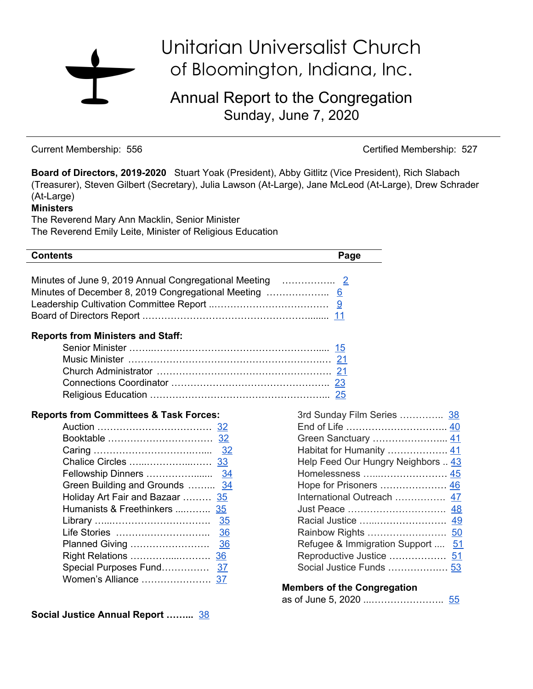# Unitarian Universalist Church of Bloomington, Indiana, Inc.

Annual Report to the Congregation Sunday, June 7, 2020

Current Membership: 556 Certified Membership: 527

as of June 5, 2020 ...………………….. [55](#page-54-0)

**Board of Directors, 2019-2020** Stuart Yoak (President), Abby Gitlitz (Vice President), Rich Slabach (Treasurer), Steven Gilbert (Secretary), Julia Lawson (At-Large), Jane McLeod (At-Large), Drew Schrader (At-Large)

#### **Ministers**

The Reverend Mary Ann Macklin, Senior Minister The Reverend Emily Leite, Minister of Religious Education

| <b>Contents</b>                                   | Page                               |
|---------------------------------------------------|------------------------------------|
|                                                   |                                    |
| <b>Reports from Ministers and Staff:</b>          |                                    |
|                                                   |                                    |
|                                                   |                                    |
|                                                   |                                    |
|                                                   |                                    |
|                                                   |                                    |
| <b>Reports from Committees &amp; Task Forces:</b> | 3rd Sunday Film Series  38         |
|                                                   |                                    |
|                                                   |                                    |
|                                                   | Habitat for Humanity  41           |
|                                                   | Help Feed Our Hungry Neighbors  43 |
|                                                   |                                    |
| Green Building and Grounds  34                    | Hope for Prisoners  46             |
| Holiday Art Fair and Bazaar  35                   | International Outreach  47         |
| Humanists & Freethinkers  35                      |                                    |
|                                                   |                                    |
|                                                   |                                    |
|                                                   | Refugee & Immigration Support  51  |
| Right Relations<br><u>36</u>                      | Reproductive Justice  51           |
|                                                   |                                    |
|                                                   |                                    |
|                                                   | <b>Members of the Congregation</b> |

**Social Justice Annual Report ……...** [38](#page-37-0)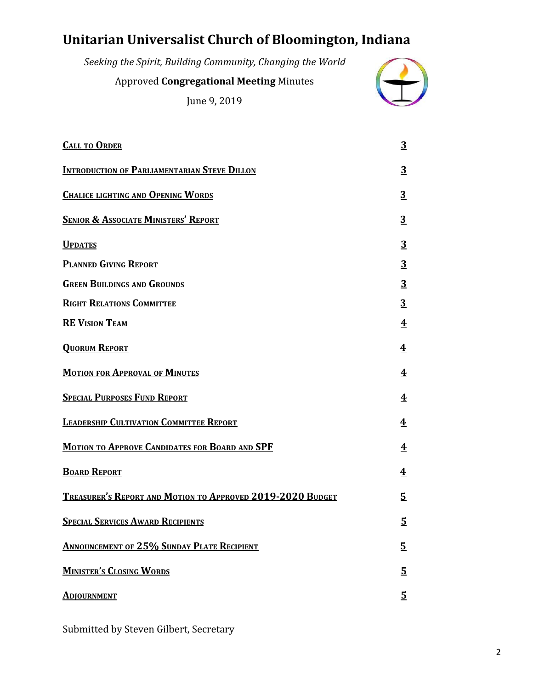# <span id="page-1-0"></span>**Unitarian Universalist Church of Bloomington, Indiana**

| Seeking the Spirit, Building Community, Changing the World |  |
|------------------------------------------------------------|--|
| <b>Approved Congregational Meeting Minutes</b>             |  |
| June 9, 2019                                               |  |

| <b>CALL TO ORDER</b>                                              | $\overline{3}$          |
|-------------------------------------------------------------------|-------------------------|
| <b>INTRODUCTION OF PARLIAMENTARIAN STEVE DILLON</b>               | $\overline{3}$          |
| <b>CHALICE LIGHTING AND OPENING WORDS</b>                         | $\overline{3}$          |
| <b>SENIOR &amp; ASSOCIATE MINISTERS' REPORT</b>                   | $\overline{3}$          |
| <b>UPDATES</b>                                                    | $\overline{3}$          |
| <b>PLANNED GIVING REPORT</b>                                      | 3                       |
| <b>GREEN BUILDINGS AND GROUNDS</b>                                | <u>3</u>                |
| <b>RIGHT RELATIONS COMMITTEE</b>                                  | <u>3</u>                |
| <b>RE VISION TEAM</b>                                             | $\overline{\textbf{4}}$ |
| <b>QUORUM REPORT</b>                                              | $\overline{\textbf{4}}$ |
| <b>MOTION FOR APPROVAL OF MINUTES</b>                             | $\overline{\textbf{4}}$ |
| <b>SPECIAL PURPOSES FUND REPORT</b>                               | 4                       |
| <b>LEADERSHIP CULTIVATION COMMITTEE REPORT</b>                    | $\overline{\textbf{4}}$ |
| <b>MOTION TO APPROVE CANDIDATES FOR BOARD AND SPF</b>             | 4                       |
| <b>BOARD REPORT</b>                                               | $\overline{\textbf{4}}$ |
| <b>TREASURER'S REPORT AND MOTION TO APPROVED 2019-2020 BUDGET</b> | <u>5</u>                |
| <b>SPECIAL SERVICES AWARD RECIPIENTS</b>                          | 5                       |
| <b>ANNOUNCEMENT OF 25% SUNDAY PLATE RECIPIENT</b>                 | $\overline{5}$          |
| <b>MINISTER'S CLOSING WORDS</b>                                   | <u>5</u>                |
| <b>ADJOURNMENT</b>                                                | $\overline{5}$          |

Submitted by Steven Gilbert, Secretary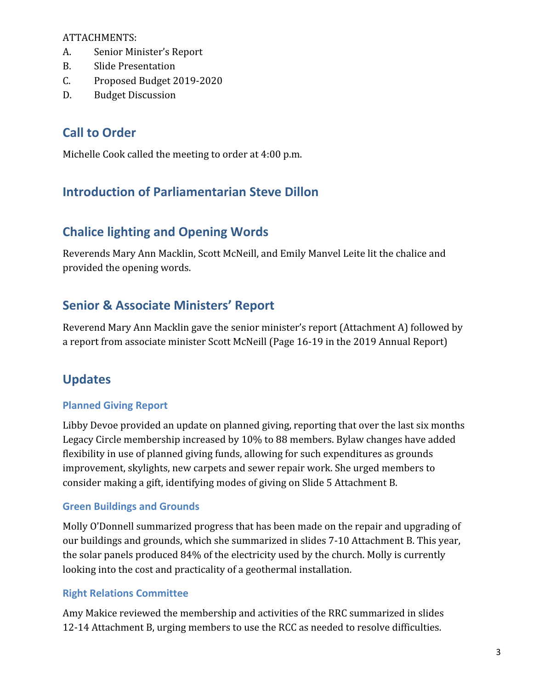ATTACHMENTS:

- A. Senior Minister's Report
- B. Slide Presentation
- C. Proposed Budget 2019-2020
- D. Budget Discussion

### **Call to Order**

Michelle Cook called the meeting to order at 4:00 p.m.

### **Introduction of Parliamentarian Steve Dillon**

### **Chalice lighting and Opening Words**

Reverends Mary Ann Macklin, Scott McNeill, and Emily Manvel Leite lit the chalice and provided the opening words.

### **Senior & Associate Ministers' Report**

Reverend Mary Ann Macklin gave the senior minister's report (Attachment A) followed by a report from associate minister Scott McNeill (Page 16-19 in the 2019 Annual Report)

### **Updates**

#### **Planned Giving Report**

Libby Devoe provided an update on planned giving, reporting that over the last six months Legacy Circle membership increased by 10% to 88 members. Bylaw changes have added flexibility in use of planned giving funds, allowing for such expenditures as grounds improvement, skylights, new carpets and sewer repair work. She urged members to consider making a gift, identifying modes of giving on Slide 5 Attachment B.

#### **Green Buildings and Grounds**

Molly O'Donnell summarized progress that has been made on the repair and upgrading of our buildings and grounds, which she summarized in slides 7-10 Attachment B. This year, the solar panels produced 84% of the electricity used by the church. Molly is currently looking into the cost and practicality of a geothermal installation.

#### **Right Relations Committee**

Amy Makice reviewed the membership and activities of the RRC summarized in slides 12-14 Attachment B, urging members to use the RCC as needed to resolve difficulties.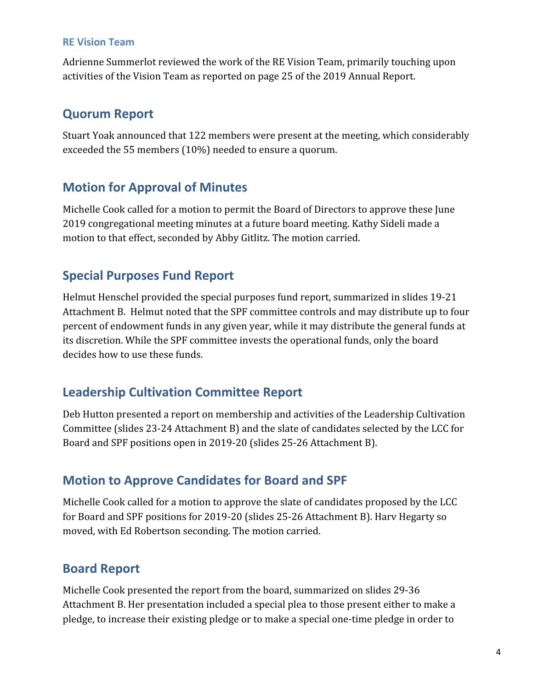#### **RE Vision Team**

Adrienne Summerlot reviewed the work of the RE Vision Team, primarily touching upon activities of the Vision Team as reported on page 25 of the 2019 Annual Report.

### **Quorum Report**

Stuart Yoak announced that 122 members were present at the meeting, which considerably exceeded the 55 members (10%) needed to ensure a quorum.

### **Motion for Approval of Minutes**

Michelle Cook called for a motion to permit the Board of Directors to approve these June 2019 congregational meeting minutes at a future board meeting. Kathy Sideli made a motion to that effect, seconded by Abby Gitlitz. The motion carried.

### **Special Purposes Fund Report**

Helmut Henschel provided the special purposes fund report, summarized in slides 19-21 Attachment B. Helmut noted that the SPF committee controls and may distribute up to four percent of endowment funds in any given year, while it may distribute the general funds at its discretion. While the SPF committee invests the operational funds, only the board decides how to use these funds.

### **Leadership Cultivation Committee Report**

Deb Hutton presented a report on membership and activities of the Leadership Cultivation Committee (slides 23-24 Attachment B) and the slate of candidates selected by the LCC for Board and SPF positions open in 2019-20 (slides 25-26 Attachment B).

### **Motion to Approve Candidates for Board and SPF**

Michelle Cook called for a motion to approve the slate of candidates proposed by the LCC for Board and SPF positions for 2019-20 (slides 25-26 Attachment B). Harv Hegarty so moved, with Ed Robertson seconding. The motion carried.

### **Board Report**

Michelle Cook presented the report from the board, summarized on slides 29-36 Attachment B. Her presentation included a special plea to those present either to make a pledge, to increase their existing pledge or to make a special one-time pledge in order to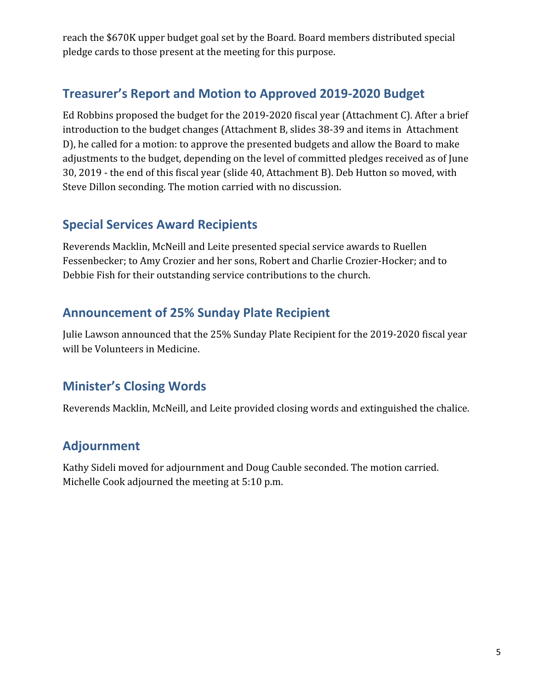reach the \$670K upper budget goal set by the Board. Board members distributed special pledge cards to those present at the meeting for this purpose.

### **Treasurer's Report and Motion to Approved 2019-2020 Budget**

Ed Robbins proposed the budget for the 2019-2020 fiscal year (Attachment C). After a brief introduction to the budget changes (Attachment B, slides 38-39 and items in Attachment D), he called for a motion: to approve the presented budgets and allow the Board to make adjustments to the budget, depending on the level of committed pledges received as of June 30, 2019 - the end of this fiscal year (slide 40, Attachment B). Deb Hutton so moved, with Steve Dillon seconding. The motion carried with no discussion.

### **Special Services Award Recipients**

Reverends Macklin, McNeill and Leite presented special service awards to Ruellen Fessenbecker; to Amy Crozier and her sons, Robert and Charlie Crozier-Hocker; and to Debbie Fish for their outstanding service contributions to the church.

### **Announcement of 25% Sunday Plate Recipient**

Julie Lawson announced that the 25% Sunday Plate Recipient for the 2019-2020 fiscal year will be Volunteers in Medicine.

### **Minister's Closing Words**

Reverends Macklin, McNeill, and Leite provided closing words and extinguished the chalice.

### **Adjournment**

Kathy Sideli moved for adjournment and Doug Cauble seconded. The motion carried. Michelle Cook adjourned the meeting at 5:10 p.m.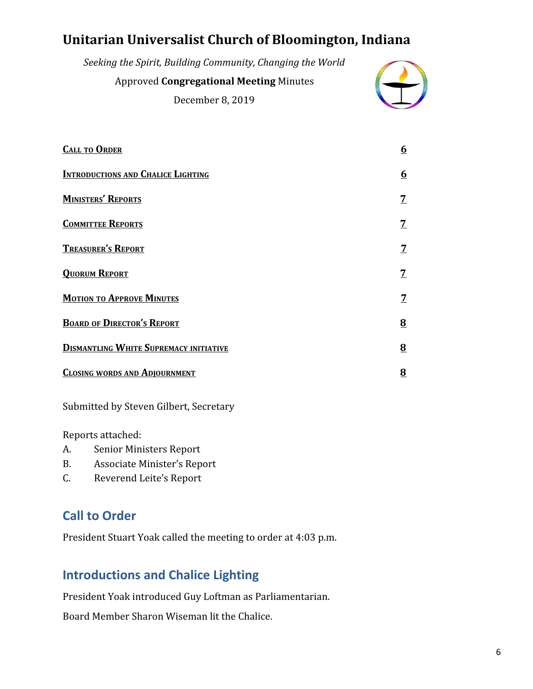# <span id="page-5-0"></span>**Unitarian Universalist Church of Bloomington, Indiana**

| Seeking the Spirit, Building Community, Changing the World |  |
|------------------------------------------------------------|--|
| <b>Approved Congregational Meeting Minutes</b>             |  |
| December 8, 2019                                           |  |

| <b>CALL TO ORDER</b>                          | <u>6</u>       |
|-----------------------------------------------|----------------|
| <b>INTRODUCTIONS AND CHALICE LIGHTING</b>     | <u>6</u>       |
| <b>MINISTERS' REPORTS</b>                     | 7              |
| <b>COMMITTEE REPORTS</b>                      | 7              |
| <b>TREASURER'S REPORT</b>                     | 7              |
| <b>QUORUM REPORT</b>                          | <u>7</u>       |
| <b>MOTION TO APPROVE MINUTES</b>              | 7              |
| <b>BOARD OF DIRECTOR'S REPORT</b>             | $\overline{8}$ |
| <b>DISMANTLING WHITE SUPREMACY INITIATIVE</b> | $\overline{8}$ |
| <b>CLOSING WORDS AND ADJOURNMENT</b>          | 8              |
|                                               |                |

Submitted by Steven Gilbert, Secretary

Reports attached:

- A. Senior Ministers Report
- B. Associate Minister's Report
- C. Reverend Leite's Report

### **Call to Order**

President Stuart Yoak called the meeting to order at 4:03 p.m.

### **Introductions and Chalice Lighting**

President Yoak introduced Guy Loftman as Parliamentarian.

Board Member Sharon Wiseman lit the Chalice.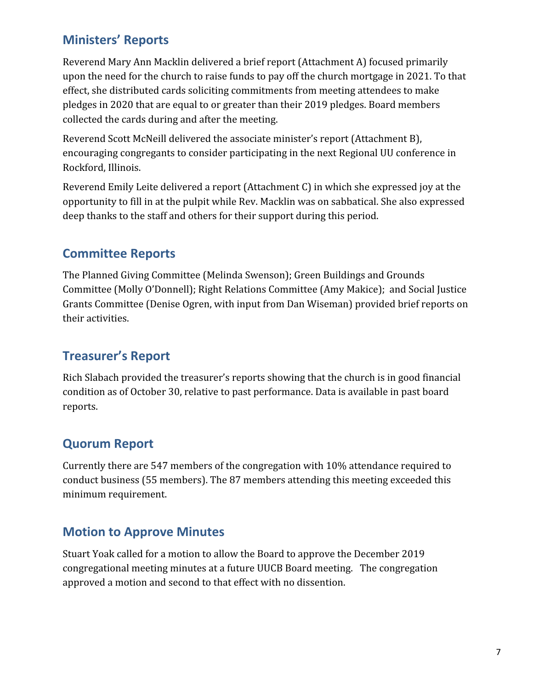### **Ministers' Reports**

Reverend Mary Ann Macklin delivered a brief report (Attachment A) focused primarily upon the need for the church to raise funds to pay off the church mortgage in 2021. To that effect, she distributed cards soliciting commitments from meeting attendees to make pledges in 2020 that are equal to or greater than their 2019 pledges. Board members collected the cards during and after the meeting.

Reverend Scott McNeill delivered the associate minister's report (Attachment B), encouraging congregants to consider participating in the next Regional UU conference in Rockford, Illinois.

Reverend Emily Leite delivered a report (Attachment C) in which she expressed joy at the opportunity to fill in at the pulpit while Rev. Macklin was on sabbatical. She also expressed deep thanks to the staff and others for their support during this period.

### **Committee Reports**

The Planned Giving Committee (Melinda Swenson); Green Buildings and Grounds Committee (Molly O'Donnell); Right Relations Committee (Amy Makice); and Social Justice Grants Committee (Denise Ogren, with input from Dan Wiseman) provided brief reports on their activities.

### **Treasurer's Report**

Rich Slabach provided the treasurer's reports showing that the church is in good financial condition as of October 30, relative to past performance. Data is available in past board reports.

### **Quorum Report**

Currently there are 547 members of the congregation with 10% attendance required to conduct business (55 members). The 87 members attending this meeting exceeded this minimum requirement.

### **Motion to Approve Minutes**

Stuart Yoak called for a motion to allow the Board to approve the December 2019 congregational meeting minutes at a future UUCB Board meeting. The congregation approved a motion and second to that effect with no dissention.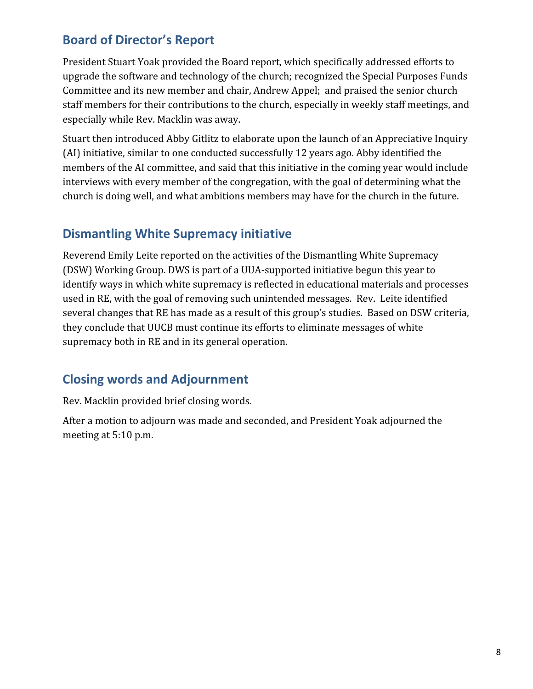### **Board of Director's Report**

President Stuart Yoak provided the Board report, which specifically addressed efforts to upgrade the software and technology of the church; recognized the Special Purposes Funds Committee and its new member and chair, Andrew Appel; and praised the senior church staff members for their contributions to the church, especially in weekly staff meetings, and especially while Rev. Macklin was away.

Stuart then introduced Abby Gitlitz to elaborate upon the launch of an Appreciative Inquiry (AI) initiative, similar to one conducted successfully 12 years ago. Abby identified the members of the AI committee, and said that this initiative in the coming year would include interviews with every member of the congregation, with the goal of determining what the church is doing well, and what ambitions members may have for the church in the future.

### **Dismantling White Supremacy initiative**

Reverend Emily Leite reported on the activities of the Dismantling White Supremacy (DSW) Working Group. DWS is part of a UUA-supported initiative begun this year to identify ways in which white supremacy is reflected in educational materials and processes used in RE, with the goal of removing such unintended messages. Rev. Leite identified several changes that RE has made as a result of this group's studies. Based on DSW criteria, they conclude that UUCB must continue its efforts to eliminate messages of white supremacy both in RE and in its general operation.

### **Closing words and Adjournment**

Rev. Macklin provided brief closing words.

After a motion to adjourn was made and seconded, and President Yoak adjourned the meeting at 5:10 p.m.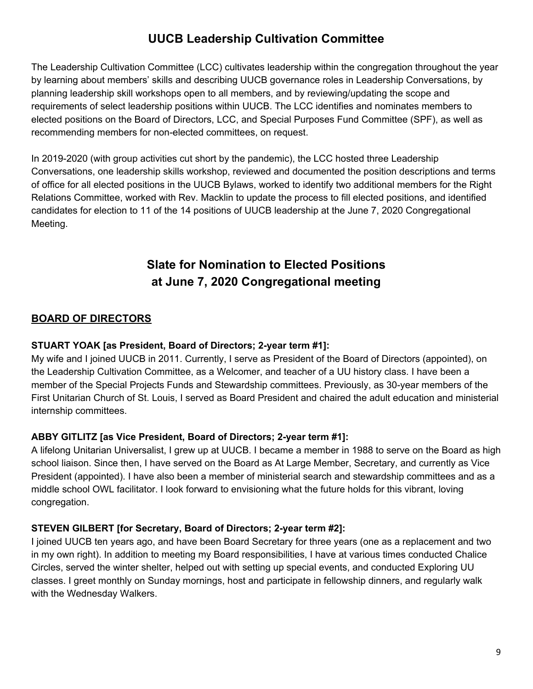### <span id="page-8-0"></span>**UUCB Leadership Cultivation Committee**

The Leadership Cultivation Committee (LCC) cultivates leadership within the congregation throughout the year by learning about members' skills and describing UUCB governance roles in Leadership Conversations, by planning leadership skill workshops open to all members, and by reviewing/updating the scope and requirements of select leadership positions within UUCB. The LCC identifies and nominates members to elected positions on the Board of Directors, LCC, and Special Purposes Fund Committee (SPF), as well as recommending members for non-elected committees, on request.

In 2019-2020 (with group activities cut short by the pandemic), the LCC hosted three Leadership Conversations, one leadership skills workshop, reviewed and documented the position descriptions and terms of office for all elected positions in the UUCB Bylaws, worked to identify two additional members for the Right Relations Committee, worked with Rev. Macklin to update the process to fill elected positions, and identified candidates for election to 11 of the 14 positions of UUCB leadership at the June 7, 2020 Congregational Meeting.

### **Slate for Nomination to Elected Positions at June 7, 2020 Congregational meeting**

#### **BOARD OF DIRECTORS**

#### **STUART YOAK [as President, Board of Directors; 2-year term #1]:**

My wife and I joined UUCB in 2011. Currently, I serve as President of the Board of Directors (appointed), on the Leadership Cultivation Committee, as a Welcomer, and teacher of a UU history class. I have been a member of the Special Projects Funds and Stewardship committees. Previously, as 30-year members of the First Unitarian Church of St. Louis, I served as Board President and chaired the adult education and ministerial internship committees.

#### **ABBY GITLITZ [as Vice President, Board of Directors; 2-year term #1]:**

A lifelong Unitarian Universalist, I grew up at UUCB. I became a member in 1988 to serve on the Board as high school liaison. Since then, I have served on the Board as At Large Member, Secretary, and currently as Vice President (appointed). I have also been a member of ministerial search and stewardship committees and as a middle school OWL facilitator. I look forward to envisioning what the future holds for this vibrant, loving congregation.

#### **STEVEN GILBERT [for Secretary, Board of Directors; 2-year term #2]:**

I joined UUCB ten years ago, and have been Board Secretary for three years (one as a replacement and two in my own right). In addition to meeting my Board responsibilities, I have at various times conducted Chalice Circles, served the winter shelter, helped out with setting up special events, and conducted Exploring UU classes. I greet monthly on Sunday mornings, host and participate in fellowship dinners, and regularly walk with the Wednesday Walkers.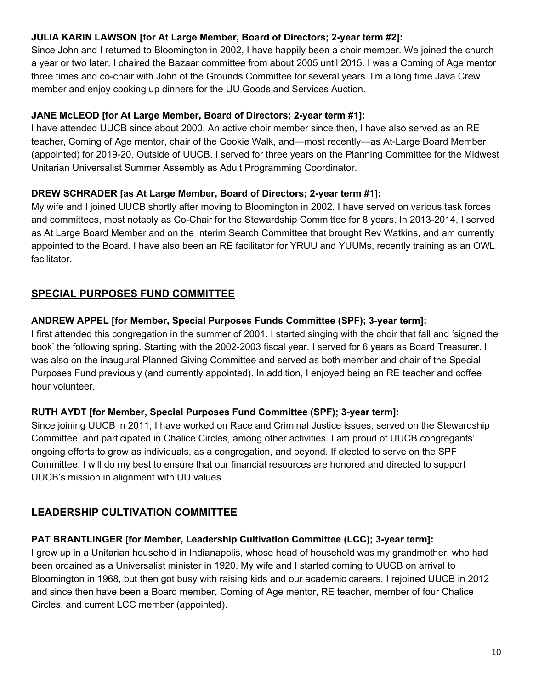#### **JULIA KARIN LAWSON [for At Large Member, Board of Directors; 2-year term #2]:**

Since John and I returned to Bloomington in 2002, I have happily been a choir member. We joined the church a year or two later. I chaired the Bazaar committee from about 2005 until 2015. I was a Coming of Age mentor three times and co-chair with John of the Grounds Committee for several years. I'm a long time Java Crew member and enjoy cooking up dinners for the UU Goods and Services Auction.

#### **JANE McLEOD [for At Large Member, Board of Directors; 2-year term #1]:**

I have attended UUCB since about 2000. An active choir member since then, I have also served as an RE teacher, Coming of Age mentor, chair of the Cookie Walk, and—most recently—as At-Large Board Member (appointed) for 2019-20. Outside of UUCB, I served for three years on the Planning Committee for the Midwest Unitarian Universalist Summer Assembly as Adult Programming Coordinator.

#### **DREW SCHRADER [as At Large Member, Board of Directors; 2-year term #1]:**

My wife and I joined UUCB shortly after moving to Bloomington in 2002. I have served on various task forces and committees, most notably as Co-Chair for the Stewardship Committee for 8 years. In 2013-2014, I served as At Large Board Member and on the Interim Search Committee that brought Rev Watkins, and am currently appointed to the Board. I have also been an RE facilitator for YRUU and YUUMs, recently training as an OWL facilitator.

#### **SPECIAL PURPOSES FUND COMMITTEE**

### **ANDREW APPEL [for Member, Special Purposes Funds Committee (SPF); 3-year term]:**

I first attended this congregation in the summer of 2001. I started singing with the choir that fall and 'signed the book' the following spring. Starting with the 2002-2003 fiscal year, I served for 6 years as Board Treasurer. I was also on the inaugural Planned Giving Committee and served as both member and chair of the Special Purposes Fund previously (and currently appointed). In addition, I enjoyed being an RE teacher and coffee hour volunteer.

### **RUTH AYDT [for Member, Special Purposes Fund Committee (SPF); 3-year term]:**

Since joining UUCB in 2011, I have worked on Race and Criminal Justice issues, served on the Stewardship Committee, and participated in Chalice Circles, among other activities. I am proud of UUCB congregants' ongoing efforts to grow as individuals, as a congregation, and beyond. If elected to serve on the SPF Committee, I will do my best to ensure that our financial resources are honored and directed to support UUCB's mission in alignment with UU values.

### **LEADERSHIP CULTIVATION COMMITTEE**

### **PAT BRANTLINGER [for Member, Leadership Cultivation Committee (LCC); 3-year term]:**

I grew up in a Unitarian household in Indianapolis, whose head of household was my grandmother, who had been ordained as a Universalist minister in 1920. My wife and I started coming to UUCB on arrival to Bloomington in 1968, but then got busy with raising kids and our academic careers. I rejoined UUCB in 2012 and since then have been a Board member, Coming of Age mentor, RE teacher, member of four Chalice Circles, and current LCC member (appointed).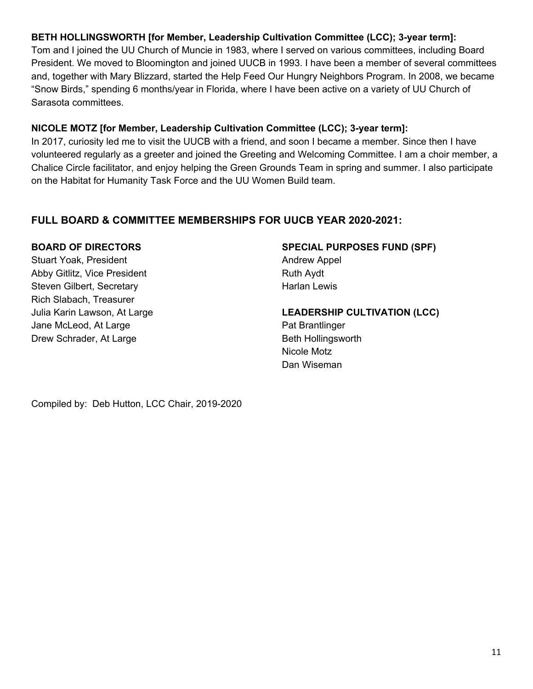#### **BETH HOLLINGSWORTH [for Member, Leadership Cultivation Committee (LCC); 3-year term]:**

Tom and I joined the UU Church of Muncie in 1983, where I served on various committees, including Board President. We moved to Bloomington and joined UUCB in 1993. I have been a member of several committees and, together with Mary Blizzard, started the Help Feed Our Hungry Neighbors Program. In 2008, we became "Snow Birds," spending 6 months/year in Florida, where I have been active on a variety of UU Church of Sarasota committees.

#### **NICOLE MOTZ [for Member, Leadership Cultivation Committee (LCC); 3-year term]:**

In 2017, curiosity led me to visit the UUCB with a friend, and soon I became a member. Since then I have volunteered regularly as a greeter and joined the Greeting and Welcoming Committee. I am a choir member, a Chalice Circle facilitator, and enjoy helping the Green Grounds Team in spring and summer. I also participate on the Habitat for Humanity Task Force and the UU Women Build team.

#### **FULL BOARD & COMMITTEE MEMBERSHIPS FOR UUCB YEAR 2020-2021:**

#### **BOARD OF DIRECTORS**

Stuart Yoak, President Abby Gitlitz, Vice President Steven Gilbert, Secretary Rich Slabach, Treasurer Julia Karin Lawson, At Large Jane McLeod, At Large Drew Schrader, At Large

## **SPECIAL PURPOSES FUND (SPF)**

Andrew Appel Ruth Aydt Harlan Lewis

**LEADERSHIP CULTIVATION (LCC)** Pat Brantlinger

Beth Hollingsworth Nicole Motz Dan Wiseman

Compiled by: Deb Hutton, LCC Chair, 2019-2020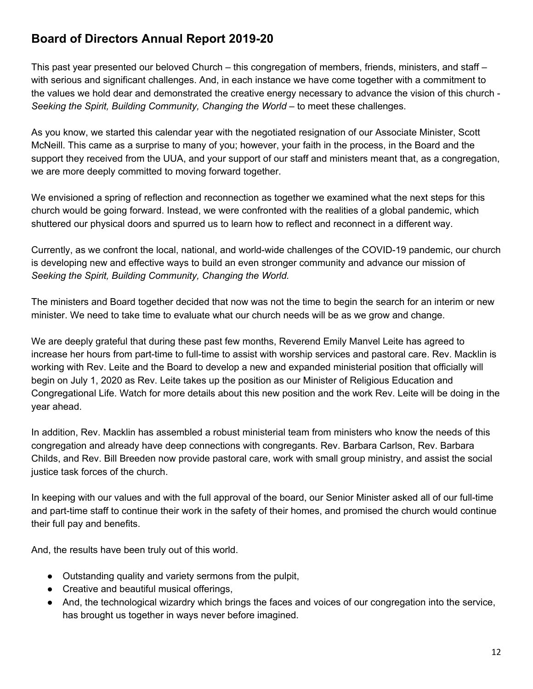### <span id="page-11-0"></span>**Board of Directors Annual Report 2019-20**

This past year presented our beloved Church – this congregation of members, friends, ministers, and staff – with serious and significant challenges. And, in each instance we have come together with a commitment to the values we hold dear and demonstrated the creative energy necessary to advance the vision of this church - *Seeking the Spirit, Building Community, Changing the World* – to meet these challenges.

As you know, we started this calendar year with the negotiated resignation of our Associate Minister, Scott McNeill. This came as a surprise to many of you; however, your faith in the process, in the Board and the support they received from the UUA, and your support of our staff and ministers meant that, as a congregation, we are more deeply committed to moving forward together.

We envisioned a spring of reflection and reconnection as together we examined what the next steps for this church would be going forward. Instead, we were confronted with the realities of a global pandemic, which shuttered our physical doors and spurred us to learn how to reflect and reconnect in a different way.

Currently, as we confront the local, national, and world-wide challenges of the COVID-19 pandemic, our church is developing new and effective ways to build an even stronger community and advance our mission of *Seeking the Spirit, Building Community, Changing the World.*

The ministers and Board together decided that now was not the time to begin the search for an interim or new minister. We need to take time to evaluate what our church needs will be as we grow and change.

We are deeply grateful that during these past few months, Reverend Emily Manvel Leite has agreed to increase her hours from part-time to full-time to assist with worship services and pastoral care. Rev. Macklin is working with Rev. Leite and the Board to develop a new and expanded ministerial position that officially will begin on July 1, 2020 as Rev. Leite takes up the position as our Minister of Religious Education and Congregational Life. Watch for more details about this new position and the work Rev. Leite will be doing in the year ahead.

In addition, Rev. Macklin has assembled a robust ministerial team from ministers who know the needs of this congregation and already have deep connections with congregants. Rev. Barbara Carlson, Rev. Barbara Childs, and Rev. Bill Breeden now provide pastoral care, work with small group ministry, and assist the social justice task forces of the church.

In keeping with our values and with the full approval of the board, our Senior Minister asked all of our full-time and part-time staff to continue their work in the safety of their homes, and promised the church would continue their full pay and benefits.

And, the results have been truly out of this world.

- Outstanding quality and variety sermons from the pulpit,
- Creative and beautiful musical offerings,
- And, the technological wizardry which brings the faces and voices of our congregation into the service, has brought us together in ways never before imagined.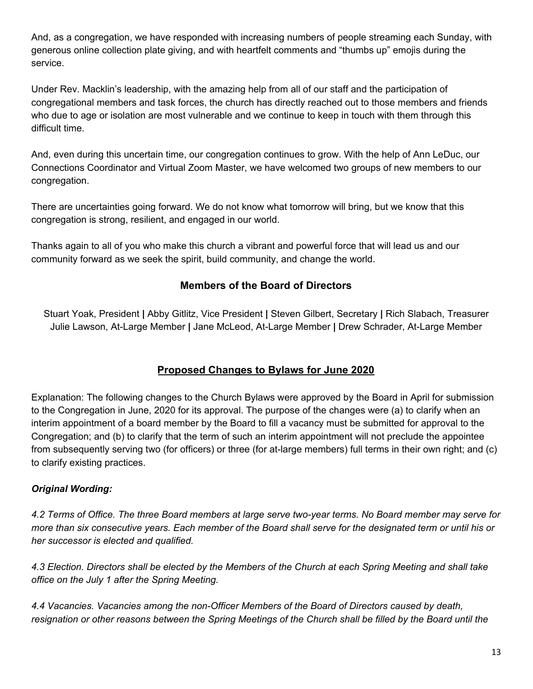And, as a congregation, we have responded with increasing numbers of people streaming each Sunday, with generous online collection plate giving, and with heartfelt comments and "thumbs up" emojis during the service.

Under Rev. Macklin's leadership, with the amazing help from all of our staff and the participation of congregational members and task forces, the church has directly reached out to those members and friends who due to age or isolation are most vulnerable and we continue to keep in touch with them through this difficult time.

And, even during this uncertain time, our congregation continues to grow. With the help of Ann LeDuc, our Connections Coordinator and Virtual Zoom Master, we have welcomed two groups of new members to our congregation.

There are uncertainties going forward. We do not know what tomorrow will bring, but we know that this congregation is strong, resilient, and engaged in our world.

Thanks again to all of you who make this church a vibrant and powerful force that will lead us and our community forward as we seek the spirit, build community, and change the world.

#### **Members of the Board of Directors**

Stuart Yoak, President **|** Abby Gitlitz, Vice President **|** Steven Gilbert, Secretary **|** Rich Slabach, Treasurer Julie Lawson, At-Large Member **|** Jane McLeod, At-Large Member **|** Drew Schrader, At-Large Member

### **Proposed Changes to Bylaws for June 2020**

Explanation: The following changes to the Church Bylaws were approved by the Board in April for submission to the Congregation in June, 2020 for its approval. The purpose of the changes were (a) to clarify when an interim appointment of a board member by the Board to fill a vacancy must be submitted for approval to the Congregation; and (b) to clarify that the term of such an interim appointment will not preclude the appointee from subsequently serving two (for officers) or three (for at-large members) full terms in their own right; and (c) to clarify existing practices.

#### *Original Wording:*

4.2 Terms of Office. The three Board members at large serve two-year terms. No Board member may serve for more than six consecutive years. Each member of the Board shall serve for the designated term or until his or *her successor is elected and qualified.*

4.3 Election. Directors shall be elected by the Members of the Church at each Spring Meeting and shall take *office on the July 1 after the Spring Meeting.*

*4.4 Vacancies. Vacancies among the non-Officer Members of the Board of Directors caused by death,* resignation or other reasons between the Spring Meetings of the Church shall be filled by the Board until the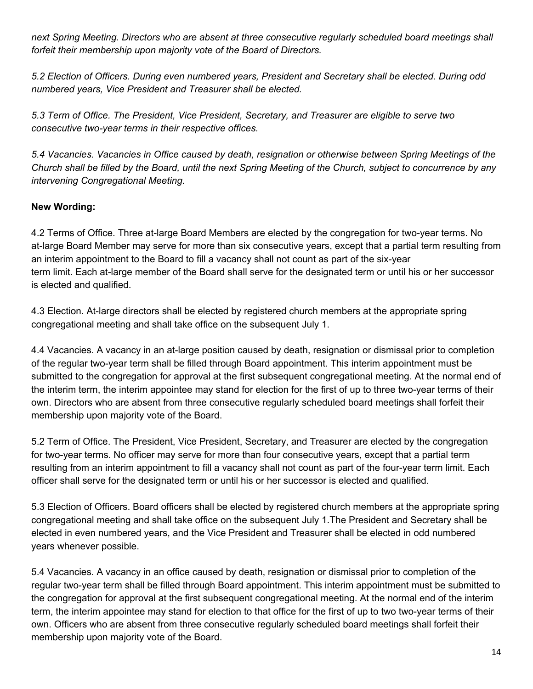*next Spring Meeting. Directors who are absent at three consecutive regularly scheduled board meetings shall forfeit their membership upon majority vote of the Board of Directors.*

*5.2 Election of Officers. During even numbered years, President and Secretary shall be elected. During odd numbered years, Vice President and Treasurer shall be elected.*

*5.3 Term of Office. The President, Vice President, Secretary, and Treasurer are eligible to serve two consecutive two-year terms in their respective offices.*

*5.4 Vacancies. Vacancies in Office caused by death, resignation or otherwise between Spring Meetings of the* Church shall be filled by the Board, until the next Spring Meeting of the Church, subject to concurrence by any *intervening Congregational Meeting.*

#### **New Wording:**

4.2 Terms of Office. Three at-large Board Members are elected by the congregation for two-year terms. No at-large Board Member may serve for more than six consecutive years, except that a partial term resulting from an interim appointment to the Board to fill a vacancy shall not count as part of the six-year term limit. Each at-large member of the Board shall serve for the designated term or until his or her successor is elected and qualified.

4.3 Election. At-large directors shall be elected by registered church members at the appropriate spring congregational meeting and shall take office on the subsequent July 1.

4.4 Vacancies. A vacancy in an at-large position caused by death, resignation or dismissal prior to completion of the regular two-year term shall be filled through Board appointment. This interim appointment must be submitted to the congregation for approval at the first subsequent congregational meeting. At the normal end of the interim term, the interim appointee may stand for election for the first of up to three two-year terms of their own. Directors who are absent from three consecutive regularly scheduled board meetings shall forfeit their membership upon majority vote of the Board.

5.2 Term of Office. The President, Vice President, Secretary, and Treasurer are elected by the congregation for two-year terms. No officer may serve for more than four consecutive years, except that a partial term resulting from an interim appointment to fill a vacancy shall not count as part of the four-year term limit. Each officer shall serve for the designated term or until his or her successor is elected and qualified.

5.3 Election of Officers. Board officers shall be elected by registered church members at the appropriate spring congregational meeting and shall take office on the subsequent July 1.The President and Secretary shall be elected in even numbered years, and the Vice President and Treasurer shall be elected in odd numbered years whenever possible.

5.4 Vacancies. A vacancy in an office caused by death, resignation or dismissal prior to completion of the regular two-year term shall be filled through Board appointment. This interim appointment must be submitted to the congregation for approval at the first subsequent congregational meeting. At the normal end of the interim term, the interim appointee may stand for election to that office for the first of up to two two-year terms of their own. Officers who are absent from three consecutive regularly scheduled board meetings shall forfeit their membership upon majority vote of the Board.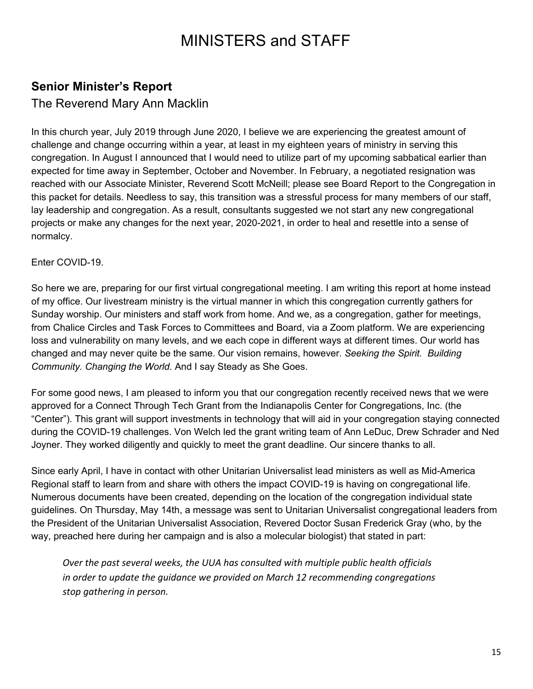# MINISTERS and STAFF

### <span id="page-14-0"></span>**Senior Minister's Report**

### The Reverend Mary Ann Macklin

In this church year, July 2019 through June 2020, I believe we are experiencing the greatest amount of challenge and change occurring within a year, at least in my eighteen years of ministry in serving this congregation. In August I announced that I would need to utilize part of my upcoming sabbatical earlier than expected for time away in September, October and November. In February, a negotiated resignation was reached with our Associate Minister, Reverend Scott McNeill; please see Board Report to the Congregation in this packet for details. Needless to say, this transition was a stressful process for many members of our staff, lay leadership and congregation. As a result, consultants suggested we not start any new congregational projects or make any changes for the next year, 2020-2021, in order to heal and resettle into a sense of normalcy.

#### Enter COVID-19.

So here we are, preparing for our first virtual congregational meeting. I am writing this report at home instead of my office. Our livestream ministry is the virtual manner in which this congregation currently gathers for Sunday worship. Our ministers and staff work from home. And we, as a congregation, gather for meetings, from Chalice Circles and Task Forces to Committees and Board, via a Zoom platform. We are experiencing loss and vulnerability on many levels, and we each cope in different ways at different times. Our world has changed and may never quite be the same. Our vision remains, however. *Seeking the Spirit. Building Community. Changing the World.* And I say Steady as She Goes.

For some good news, I am pleased to inform you that our congregation recently received news that we were approved for a Connect Through Tech Grant from the Indianapolis Center for Congregations, Inc. (the "Center"). This grant will support investments in technology that will aid in your congregation staying connected during the COVID-19 challenges. Von Welch led the grant writing team of Ann LeDuc, Drew Schrader and Ned Joyner. They worked diligently and quickly to meet the grant deadline. Our sincere thanks to all.

Since early April, I have in contact with other Unitarian Universalist lead ministers as well as Mid-America Regional staff to learn from and share with others the impact COVID-19 is having on congregational life. Numerous documents have been created, depending on the location of the congregation individual state guidelines. On Thursday, May 14th, a message was sent to Unitarian Universalist congregational leaders from the President of the Unitarian Universalist Association, Revered Doctor Susan Frederick Gray (who, by the way, preached here during her campaign and is also a molecular biologist) that stated in part:

*Over the past several weeks, the UUA has consulted with multiple public health officials in order to update the guidance we provided on March 12 recommending congregations stop gathering in person.*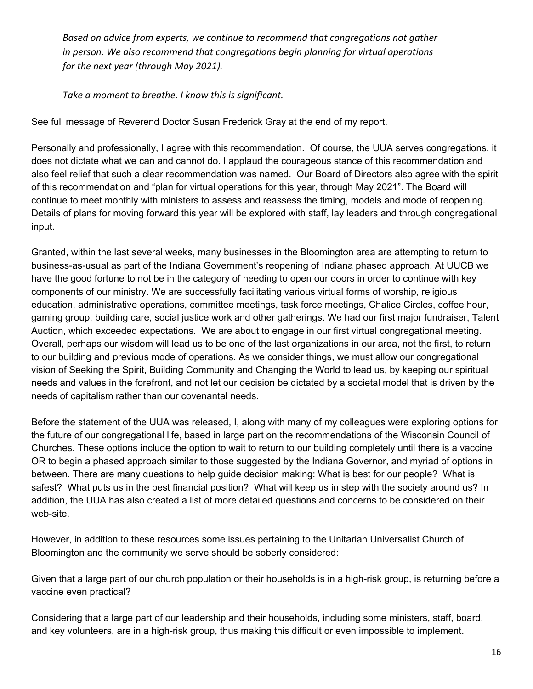*Based on advice from experts, we continue to recommend that congregations not gather in person. We also recommend that congregations begin planning for virtual operations for the next year (through May 2021).*

*Take a moment to breathe. I know this is significant.*

See full message of Reverend Doctor Susan Frederick Gray at the end of my report.

Personally and professionally, I agree with this recommendation. Of course, the UUA serves congregations, it does not dictate what we can and cannot do. I applaud the courageous stance of this recommendation and also feel relief that such a clear recommendation was named. Our Board of Directors also agree with the spirit of this recommendation and "plan for virtual operations for this year, through May 2021". The Board will continue to meet monthly with ministers to assess and reassess the timing, models and mode of reopening. Details of plans for moving forward this year will be explored with staff, lay leaders and through congregational input.

Granted, within the last several weeks, many businesses in the Bloomington area are attempting to return to business-as-usual as part of the Indiana Government's reopening of Indiana phased approach. At UUCB we have the good fortune to not be in the category of needing to open our doors in order to continue with key components of our ministry. We are successfully facilitating various virtual forms of worship, religious education, administrative operations, committee meetings, task force meetings, Chalice Circles, coffee hour, gaming group, building care, social justice work and other gatherings. We had our first major fundraiser, Talent Auction, which exceeded expectations. We are about to engage in our first virtual congregational meeting. Overall, perhaps our wisdom will lead us to be one of the last organizations in our area, not the first, to return to our building and previous mode of operations. As we consider things, we must allow our congregational vision of Seeking the Spirit, Building Community and Changing the World to lead us, by keeping our spiritual needs and values in the forefront, and not let our decision be dictated by a societal model that is driven by the needs of capitalism rather than our covenantal needs.

Before the statement of the UUA was released, I, along with many of my colleagues were exploring options for the future of our congregational life, based in large part on the recommendations of the Wisconsin Council of Churches. These options include the option to wait to return to our building completely until there is a vaccine OR to begin a phased approach similar to those suggested by the Indiana Governor, and myriad of options in between. There are many questions to help guide decision making: What is best for our people? What is safest? What puts us in the best financial position? What will keep us in step with the society around us? In addition, the UUA has also created a list of more detailed questions and concerns to be considered on their web-site.

However, in addition to these resources some issues pertaining to the Unitarian Universalist Church of Bloomington and the community we serve should be soberly considered:

Given that a large part of our church population or their households is in a high-risk group, is returning before a vaccine even practical?

Considering that a large part of our leadership and their households, including some ministers, staff, board, and key volunteers, are in a high-risk group, thus making this difficult or even impossible to implement.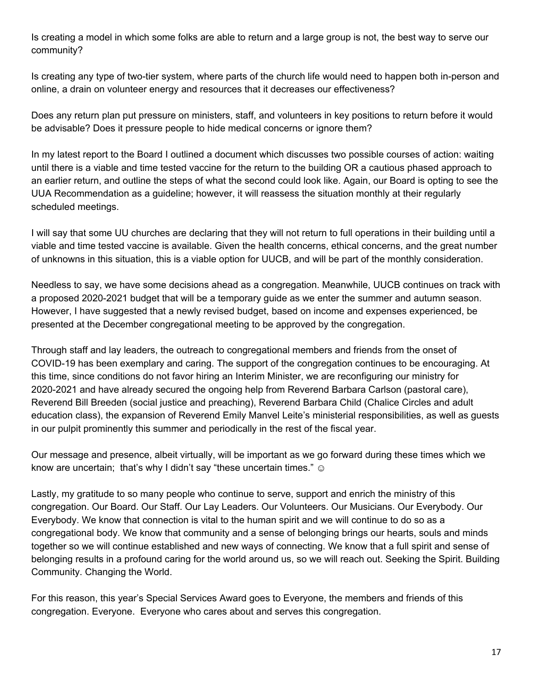Is creating a model in which some folks are able to return and a large group is not, the best way to serve our community?

Is creating any type of two-tier system, where parts of the church life would need to happen both in-person and online, a drain on volunteer energy and resources that it decreases our effectiveness?

Does any return plan put pressure on ministers, staff, and volunteers in key positions to return before it would be advisable? Does it pressure people to hide medical concerns or ignore them?

In my latest report to the Board I outlined a document which discusses two possible courses of action: waiting until there is a viable and time tested vaccine for the return to the building OR a cautious phased approach to an earlier return, and outline the steps of what the second could look like. Again, our Board is opting to see the UUA Recommendation as a guideline; however, it will reassess the situation monthly at their regularly scheduled meetings.

I will say that some UU churches are declaring that they will not return to full operations in their building until a viable and time tested vaccine is available. Given the health concerns, ethical concerns, and the great number of unknowns in this situation, this is a viable option for UUCB, and will be part of the monthly consideration.

Needless to say, we have some decisions ahead as a congregation. Meanwhile, UUCB continues on track with a proposed 2020-2021 budget that will be a temporary guide as we enter the summer and autumn season. However, I have suggested that a newly revised budget, based on income and expenses experienced, be presented at the December congregational meeting to be approved by the congregation.

Through staff and lay leaders, the outreach to congregational members and friends from the onset of COVID-19 has been exemplary and caring. The support of the congregation continues to be encouraging. At this time, since conditions do not favor hiring an Interim Minister, we are reconfiguring our ministry for 2020-2021 and have already secured the ongoing help from Reverend Barbara Carlson (pastoral care), Reverend Bill Breeden (social justice and preaching), Reverend Barbara Child (Chalice Circles and adult education class), the expansion of Reverend Emily Manvel Leite's ministerial responsibilities, as well as guests in our pulpit prominently this summer and periodically in the rest of the fiscal year.

Our message and presence, albeit virtually, will be important as we go forward during these times which we know are uncertain; that's why I didn't say "these uncertain times."  $\odot$ 

Lastly, my gratitude to so many people who continue to serve, support and enrich the ministry of this congregation. Our Board. Our Staff. Our Lay Leaders. Our Volunteers. Our Musicians. Our Everybody. Our Everybody. We know that connection is vital to the human spirit and we will continue to do so as a congregational body. We know that community and a sense of belonging brings our hearts, souls and minds together so we will continue established and new ways of connecting. We know that a full spirit and sense of belonging results in a profound caring for the world around us, so we will reach out. Seeking the Spirit. Building Community. Changing the World.

For this reason, this year's Special Services Award goes to Everyone, the members and friends of this congregation. Everyone. Everyone who cares about and serves this congregation.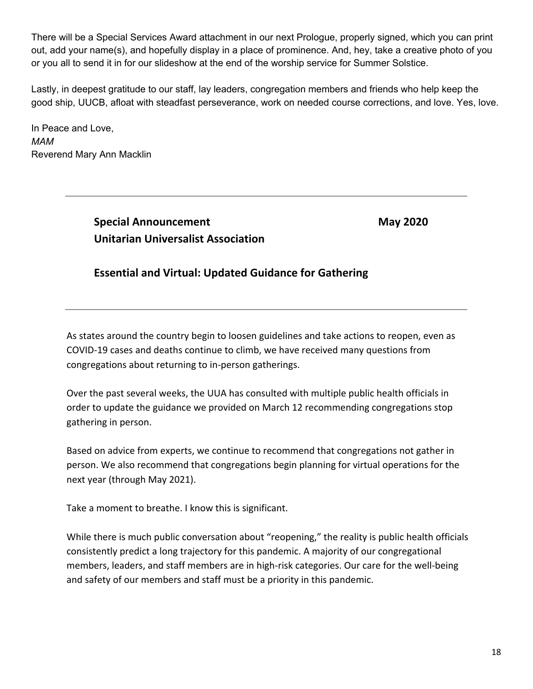There will be a Special Services Award attachment in our next Prologue, properly signed, which you can print out, add your name(s), and hopefully display in a place of prominence. And, hey, take a creative photo of you or you all to send it in for our slideshow at the end of the worship service for Summer Solstice.

Lastly, in deepest gratitude to our staff, lay leaders, congregation members and friends who help keep the good ship, UUCB, afloat with steadfast perseverance, work on needed course corrections, and love. Yes, love.

In Peace and Love, *MAM* Reverend Mary Ann Macklin

> **Special Announcement May 2020 Unitarian Universalist Association**

#### **Essential and Virtual: Updated Guidance for Gathering**

As states around the country begin to loosen guidelines and take actions to reopen, even as COVID-19 cases and deaths continue to climb, we have received many questions from congregations about returning to in-person gatherings.

Over the past several weeks, the UUA has consulted with multiple public health officials in order to update the guidance we provided on March 12 recommending congregations stop gathering in person.

Based on advice from experts, we continue to recommend that congregations not gather in person. We also recommend that congregations begin planning for virtual operations for the next year (through May 2021).

Take a moment to breathe. I know this is significant.

While there is much public conversation about "reopening," the reality is public health officials consistently predict a long trajectory for this pandemic. A majority of our congregational members, leaders, and staff members are in high-risk categories. Our care for the well-being and safety of our members and staff must be a priority in this pandemic.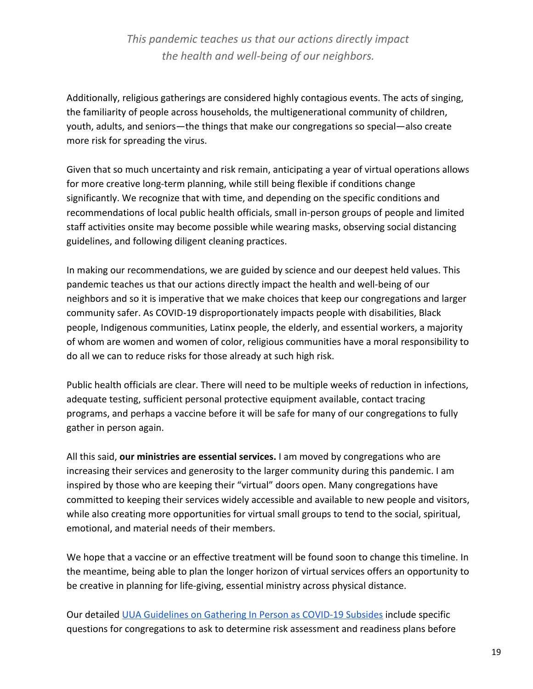*This pandemic teaches us that our actions directly impact the health and well-being of our neighbors.*

Additionally, religious gatherings are considered highly contagious events. The acts of singing, the familiarity of people across households, the multigenerational community of children, youth, adults, and seniors—the things that make our congregations so special—also create more risk for spreading the virus.

Given that so much uncertainty and risk remain, anticipating a year of virtual operations allows for more creative long-term planning, while still being flexible if conditions change significantly. We recognize that with time, and depending on the specific conditions and recommendations of local public health officials, small in-person groups of people and limited staff activities onsite may become possible while wearing masks, observing social distancing guidelines, and following diligent cleaning practices.

In making our recommendations, we are guided by science and our deepest held values. This pandemic teaches us that our actions directly impact the health and well-being of our neighbors and so it is imperative that we make choices that keep our congregations and larger community safer. As COVID-19 disproportionately impacts people with disabilities, Black people, Indigenous communities, Latinx people, the elderly, and essential workers, a majority of whom are women and women of color, religious communities have a moral responsibility to do all we can to reduce risks for those already at such high risk.

Public health officials are clear. There will need to be multiple weeks of reduction in infections, adequate testing, sufficient personal protective equipment available, contact tracing programs, and perhaps a vaccine before it will be safe for many of our congregations to fully gather in person again.

All this said, **our ministries are essential services.** I am moved by congregations who are increasing their services and generosity to the larger community during this pandemic. I am inspired by those who are keeping their "virtual" doors open. Many congregations have committed to keeping their services widely accessible and available to new people and visitors, while also creating more opportunities for virtual small groups to tend to the social, spiritual, emotional, and material needs of their members.

We hope that a vaccine or an effective treatment will be found soon to change this timeline. In the meantime, being able to plan the longer horizon of virtual services offers an opportunity to be creative in planning for life-giving, essential ministry across physical distance.

Our detailed [UUA Guidelines on Gathering In Person as COVID-19 Subsides](https://www.uua.org/safe/pandemics/gathering-guidance) include specific questions for congregations to ask to determine risk assessment and readiness plans before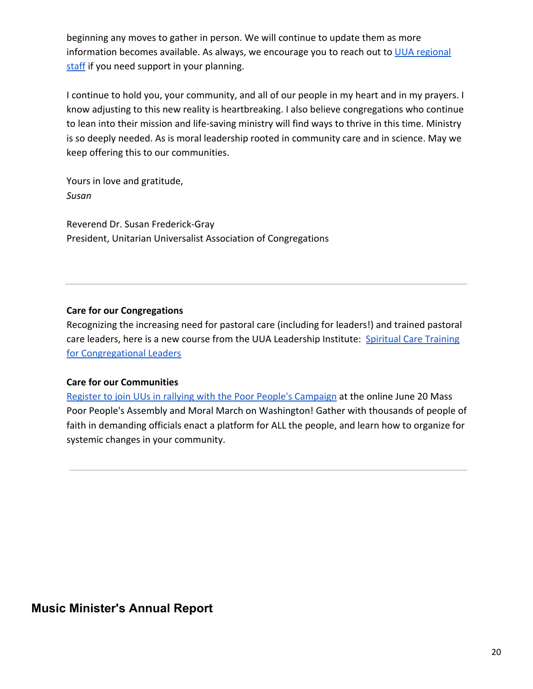beginning any moves to gather in person. We will continue to update them as more information becomes available. As always, we encourage you to reach out to [UUA regional](https://www.uua.org/regions) [staff](https://www.uua.org/regions) if you need support in your planning.

I continue to hold you, your community, and all of our people in my heart and in my prayers. I know adjusting to this new reality is heartbreaking. I also believe congregations who continue to lean into their mission and life-saving ministry will find ways to thrive in this time. Ministry is so deeply needed. As is moral leadership rooted in community care and in science. May we keep offering this to our communities.

Yours in love and gratitude, *Susan*

Reverend Dr. Susan Frederick-Gray President, Unitarian Universalist Association of Congregations

#### **Care for our Congregations**

Recognizing the increasing need for pastoral care (including for leaders!) and trained pastoral care leaders, here is a new course from the UUA Leadership Institute: [Spiritual Care Training](https://www.uuinstitute.org/courses/spiritualcarediscernment/) [for Congregational Leaders](https://www.uuinstitute.org/courses/spiritualcarediscernment/)

#### **Care for our Communities**

[Register to join UUs in rallying with the Poor People's Campaign](https://actionnetwork.org/forms/rsvp-for-june-20-2020-mass-poor-peoples-assembly-moral-march-on-washington?source=UUA) at the online June 20 Mass Poor People's Assembly and Moral March on Washington! Gather with thousands of people of faith in demanding officials enact a platform for ALL the people, and learn how to organize for systemic changes in your community.

### <span id="page-19-0"></span>**Music Minister's Annual Report**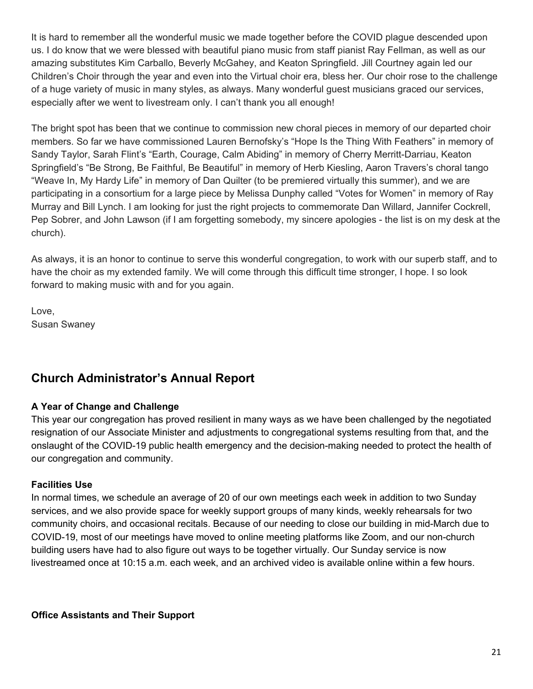It is hard to remember all the wonderful music we made together before the COVID plague descended upon us. I do know that we were blessed with beautiful piano music from staff pianist Ray Fellman, as well as our amazing substitutes Kim Carballo, Beverly McGahey, and Keaton Springfield. Jill Courtney again led our Children's Choir through the year and even into the Virtual choir era, bless her. Our choir rose to the challenge of a huge variety of music in many styles, as always. Many wonderful guest musicians graced our services, especially after we went to livestream only. I can't thank you all enough!

The bright spot has been that we continue to commission new choral pieces in memory of our departed choir members. So far we have commissioned Lauren Bernofsky's "Hope Is the Thing With Feathers" in memory of Sandy Taylor, Sarah Flint's "Earth, Courage, Calm Abiding" in memory of Cherry Merritt-Darriau, Keaton Springfield's "Be Strong, Be Faithful, Be Beautiful" in memory of Herb Kiesling, Aaron Travers's choral tango "Weave In, My Hardy Life" in memory of Dan Quilter (to be premiered virtually this summer), and we are participating in a consortium for a large piece by Melissa Dunphy called "Votes for Women" in memory of Ray Murray and Bill Lynch. I am looking for just the right projects to commemorate Dan Willard, Jannifer Cockrell, Pep Sobrer, and John Lawson (if I am forgetting somebody, my sincere apologies - the list is on my desk at the church).

As always, it is an honor to continue to serve this wonderful congregation, to work with our superb staff, and to have the choir as my extended family. We will come through this difficult time stronger, I hope. I so look forward to making music with and for you again.

Love, Susan Swaney

### <span id="page-20-0"></span>**Church Administrator's Annual Report**

#### **A Year of Change and Challenge**

This year our congregation has proved resilient in many ways as we have been challenged by the negotiated resignation of our Associate Minister and adjustments to congregational systems resulting from that, and the onslaught of the COVID-19 public health emergency and the decision-making needed to protect the health of our congregation and community.

#### **Facilities Use**

In normal times, we schedule an average of 20 of our own meetings each week in addition to two Sunday services, and we also provide space for weekly support groups of many kinds, weekly rehearsals for two community choirs, and occasional recitals. Because of our needing to close our building in mid-March due to COVID-19, most of our meetings have moved to online meeting platforms like Zoom, and our non-church building users have had to also figure out ways to be together virtually. Our Sunday service is now livestreamed once at 10:15 a.m. each week, and an archived video is available online within a few hours.

**Office Assistants and Their Support**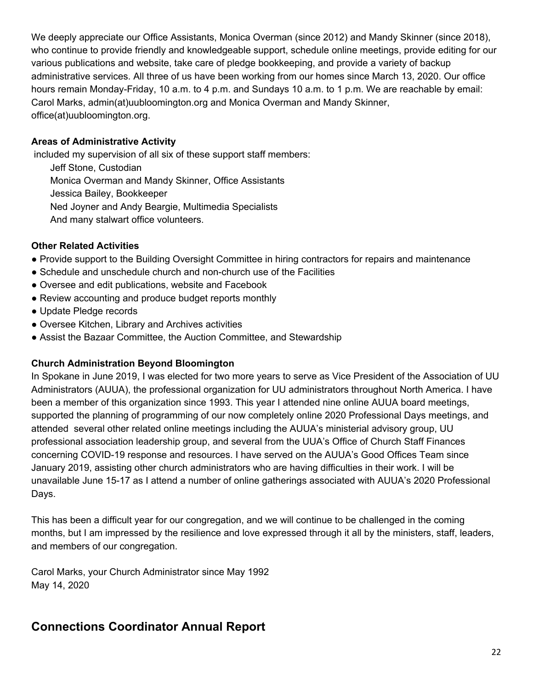We deeply appreciate our Office Assistants, Monica Overman (since 2012) and Mandy Skinner (since 2018), who continue to provide friendly and knowledgeable support, schedule online meetings, provide editing for our various publications and website, take care of pledge bookkeeping, and provide a variety of backup administrative services. All three of us have been working from our homes since March 13, 2020. Our office hours remain Monday-Friday, 10 a.m. to 4 p.m. and Sundays 10 a.m. to 1 p.m. We are reachable by email: Carol Marks, admin(at)uubloomington.org and Monica Overman and Mandy Skinner, office(at)uubloomington.org.

#### **Areas of Administrative Activity**

included my supervision of all six of these support staff members:

Jeff Stone, Custodian Monica Overman and Mandy Skinner, Office Assistants Jessica Bailey, Bookkeeper Ned Joyner and Andy Beargie, Multimedia Specialists And many stalwart office volunteers.

#### **Other Related Activities**

- Provide support to the Building Oversight Committee in hiring contractors for repairs and maintenance
- Schedule and unschedule church and non-church use of the Facilities
- Oversee and edit publications, website and Facebook
- Review accounting and produce budget reports monthly
- Update Pledge records
- Oversee Kitchen, Library and Archives activities
- Assist the Bazaar Committee, the Auction Committee, and Stewardship

#### **Church Administration Beyond Bloomington**

In Spokane in June 2019, I was elected for two more years to serve as Vice President of the Association of UU Administrators (AUUA), the professional organization for UU administrators throughout North America. I have been a member of this organization since 1993. This year I attended nine online AUUA board meetings, supported the planning of programming of our now completely online 2020 Professional Days meetings, and attended several other related online meetings including the AUUA's ministerial advisory group, UU professional association leadership group, and several from the UUA's Office of Church Staff Finances concerning COVID-19 response and resources. I have served on the AUUA's Good Offices Team since January 2019, assisting other church administrators who are having difficulties in their work. I will be unavailable June 15-17 as I attend a number of online gatherings associated with AUUA's 2020 Professional Days.

This has been a difficult year for our congregation, and we will continue to be challenged in the coming months, but I am impressed by the resilience and love expressed through it all by the ministers, staff, leaders, and members of our congregation.

Carol Marks, your Church Administrator since May 1992 May 14, 2020

### <span id="page-21-0"></span>**Connections Coordinator Annual Report**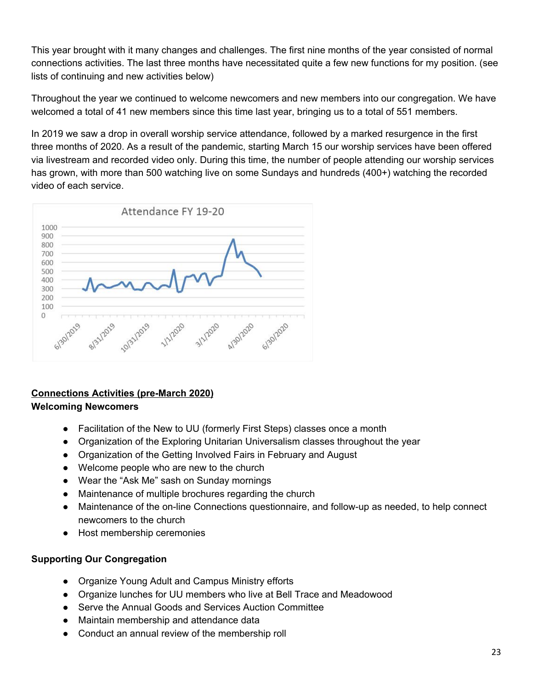This year brought with it many changes and challenges. The first nine months of the year consisted of normal connections activities. The last three months have necessitated quite a few new functions for my position. (see lists of continuing and new activities below)

Throughout the year we continued to welcome newcomers and new members into our congregation. We have welcomed a total of 41 new members since this time last year, bringing us to a total of 551 members.

In 2019 we saw a drop in overall worship service attendance, followed by a marked resurgence in the first three months of 2020. As a result of the pandemic, starting March 15 our worship services have been offered via livestream and recorded video only. During this time, the number of people attending our worship services has grown, with more than 500 watching live on some Sundays and hundreds (400+) watching the recorded video of each service.



#### **Connections Activities (pre-March 2020) Welcoming Newcomers**

#### ● Facilitation of the New to UU (formerly First Steps) classes once a month

- Organization of the Exploring Unitarian Universalism classes throughout the year
- Organization of the Getting Involved Fairs in February and August
- Welcome people who are new to the church
- Wear the "Ask Me" sash on Sunday mornings
- Maintenance of multiple brochures regarding the church
- Maintenance of the on-line Connections questionnaire, and follow-up as needed, to help connect newcomers to the church
- Host membership ceremonies

#### **Supporting Our Congregation**

- Organize Young Adult and Campus Ministry efforts
- Organize lunches for UU members who live at Bell Trace and Meadowood
- Serve the Annual Goods and Services Auction Committee
- Maintain membership and attendance data
- Conduct an annual review of the membership roll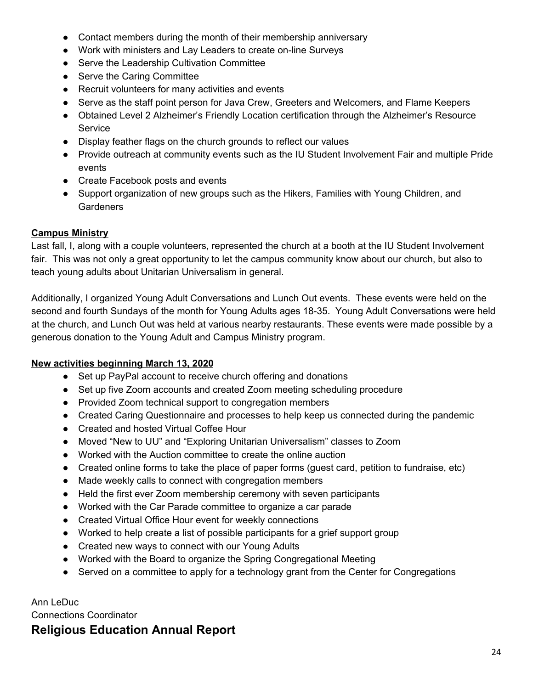- Contact members during the month of their membership anniversary
- Work with ministers and Lay Leaders to create on-line Surveys
- Serve the Leadership Cultivation Committee
- Serve the Caring Committee
- Recruit volunteers for many activities and events
- Serve as the staff point person for Java Crew, Greeters and Welcomers, and Flame Keepers
- Obtained Level 2 Alzheimer's Friendly Location certification through the Alzheimer's Resource Service
- Display feather flags on the church grounds to reflect our values
- Provide outreach at community events such as the IU Student Involvement Fair and multiple Pride events
- Create Facebook posts and events
- Support organization of new groups such as the Hikers, Families with Young Children, and **Gardeners**

#### **Campus Ministry**

Last fall, I, along with a couple volunteers, represented the church at a booth at the IU Student Involvement fair. This was not only a great opportunity to let the campus community know about our church, but also to teach young adults about Unitarian Universalism in general.

Additionally, I organized Young Adult Conversations and Lunch Out events. These events were held on the second and fourth Sundays of the month for Young Adults ages 18-35. Young Adult Conversations were held at the church, and Lunch Out was held at various nearby restaurants. These events were made possible by a generous donation to the Young Adult and Campus Ministry program.

#### **New activities beginning March 13, 2020**

- Set up PayPal account to receive church offering and donations
- Set up five Zoom accounts and created Zoom meeting scheduling procedure
- Provided Zoom technical support to congregation members
- Created Caring Questionnaire and processes to help keep us connected during the pandemic
- Created and hosted Virtual Coffee Hour
- Moved "New to UU" and "Exploring Unitarian Universalism" classes to Zoom
- Worked with the Auction committee to create the online auction
- Created online forms to take the place of paper forms (quest card, petition to fundraise, etc)
- Made weekly calls to connect with congregation members
- Held the first ever Zoom membership ceremony with seven participants
- Worked with the Car Parade committee to organize a car parade
- Created Virtual Office Hour event for weekly connections
- Worked to help create a list of possible participants for a grief support group
- Created new ways to connect with our Young Adults
- Worked with the Board to organize the Spring Congregational Meeting
- Served on a committee to apply for a technology grant from the Center for Congregations

Ann LeDuc Connections Coordinator

### **Religious Education Annual Report**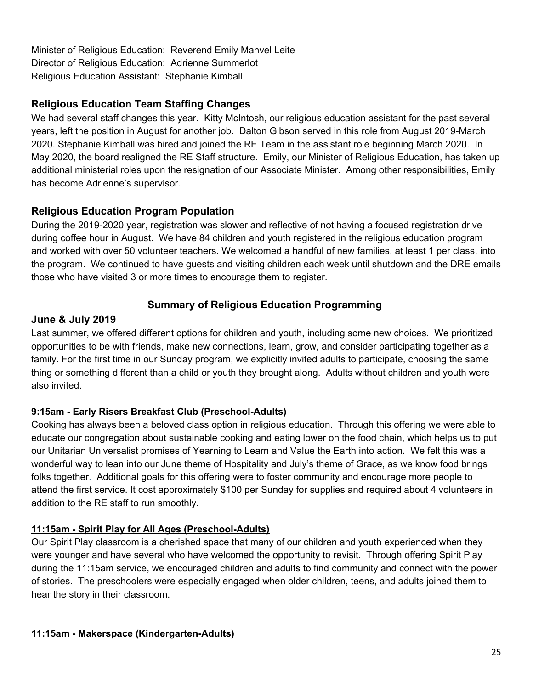Minister of Religious Education: Reverend Emily Manvel Leite Director of Religious Education: Adrienne Summerlot Religious Education Assistant: Stephanie Kimball

### **Religious Education Team Staffing Changes**

We had several staff changes this year. Kitty McIntosh, our religious education assistant for the past several years, left the position in August for another job. Dalton Gibson served in this role from August 2019-March 2020. Stephanie Kimball was hired and joined the RE Team in the assistant role beginning March 2020. In May 2020, the board realigned the RE Staff structure. Emily, our Minister of Religious Education, has taken up additional ministerial roles upon the resignation of our Associate Minister. Among other responsibilities, Emily has become Adrienne's supervisor.

#### **Religious Education Program Population**

During the 2019-2020 year, registration was slower and reflective of not having a focused registration drive during coffee hour in August. We have 84 children and youth registered in the religious education program and worked with over 50 volunteer teachers. We welcomed a handful of new families, at least 1 per class, into the program. We continued to have guests and visiting children each week until shutdown and the DRE emails those who have visited 3 or more times to encourage them to register.

### **Summary of Religious Education Programming**

#### **June & July 2019**

Last summer, we offered different options for children and youth, including some new choices. We prioritized opportunities to be with friends, make new connections, learn, grow, and consider participating together as a family. For the first time in our Sunday program, we explicitly invited adults to participate, choosing the same thing or something different than a child or youth they brought along. Adults without children and youth were also invited.

#### **9:15am - Early Risers Breakfast Club (Preschool-Adults)**

Cooking has always been a beloved class option in religious education. Through this offering we were able to educate our congregation about sustainable cooking and eating lower on the food chain, which helps us to put our Unitarian Universalist promises of Yearning to Learn and Value the Earth into action. We felt this was a wonderful way to lean into our June theme of Hospitality and July's theme of Grace, as we know food brings folks together. Additional goals for this offering were to foster community and encourage more people to attend the first service. It cost approximately \$100 per Sunday for supplies and required about 4 volunteers in addition to the RE staff to run smoothly.

#### **11:15am - Spirit Play for All Ages (Preschool-Adults)**

Our Spirit Play classroom is a cherished space that many of our children and youth experienced when they were younger and have several who have welcomed the opportunity to revisit. Through offering Spirit Play during the 11:15am service, we encouraged children and adults to find community and connect with the power of stories. The preschoolers were especially engaged when older children, teens, and adults joined them to hear the story in their classroom.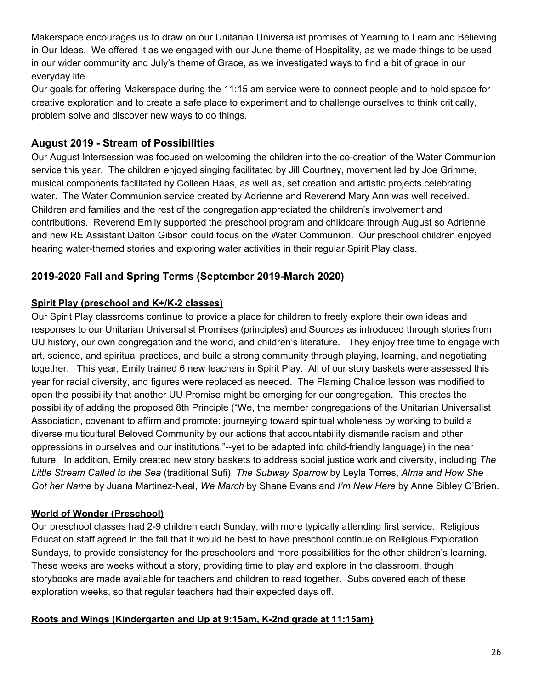Makerspace encourages us to draw on our Unitarian Universalist promises of Yearning to Learn and Believing in Our Ideas. We offered it as we engaged with our June theme of Hospitality, as we made things to be used in our wider community and July's theme of Grace, as we investigated ways to find a bit of grace in our everyday life.

Our goals for offering Makerspace during the 11:15 am service were to connect people and to hold space for creative exploration and to create a safe place to experiment and to challenge ourselves to think critically, problem solve and discover new ways to do things.

### **August 2019 - Stream of Possibilities**

Our August Intersession was focused on welcoming the children into the co-creation of the Water Communion service this year. The children enjoyed singing facilitated by Jill Courtney, movement led by Joe Grimme, musical components facilitated by Colleen Haas, as well as, set creation and artistic projects celebrating water. The Water Communion service created by Adrienne and Reverend Mary Ann was well received. Children and families and the rest of the congregation appreciated the children's involvement and contributions. Reverend Emily supported the preschool program and childcare through August so Adrienne and new RE Assistant Dalton Gibson could focus on the Water Communion. Our preschool children enjoyed hearing water-themed stories and exploring water activities in their regular Spirit Play class.

### **2019-2020 Fall and Spring Terms (September 2019-March 2020)**

### **Spirit Play (preschool and K+/K-2 classes)**

Our Spirit Play classrooms continue to provide a place for children to freely explore their own ideas and responses to our Unitarian Universalist Promises (principles) and Sources as introduced through stories from UU history, our own congregation and the world, and children's literature. They enjoy free time to engage with art, science, and spiritual practices, and build a strong community through playing, learning, and negotiating together. This year, Emily trained 6 new teachers in Spirit Play. All of our story baskets were assessed this year for racial diversity, and figures were replaced as needed. The Flaming Chalice lesson was modified to open the possibility that another UU Promise might be emerging for our congregation. This creates the possibility of adding the proposed 8th Principle ("We, the member congregations of the Unitarian Universalist Association, covenant to affirm and promote: journeying toward spiritual wholeness by working to build a diverse multicultural Beloved Community by our actions that accountability dismantle racism and other oppressions in ourselves and our institutions."--yet to be adapted into child-friendly language) in the near future. In addition, Emily created new story baskets to address social justice work and diversity, including *The Little Stream Called to the Sea* (traditional Sufi), *The Subway Sparrow* by Leyla Torres, *Alma and How She Got her Name* by Juana Martinez-Neal, *We March* by Shane Evans and *I'm New Here* by Anne Sibley O'Brien.

### **World of Wonder (Preschool)**

Our preschool classes had 2-9 children each Sunday, with more typically attending first service. Religious Education staff agreed in the fall that it would be best to have preschool continue on Religious Exploration Sundays, to provide consistency for the preschoolers and more possibilities for the other children's learning. These weeks are weeks without a story, providing time to play and explore in the classroom, though storybooks are made available for teachers and children to read together. Subs covered each of these exploration weeks, so that regular teachers had their expected days off.

#### **Roots and Wings (Kindergarten and Up at 9:15am, K-2nd grade at 11:15am)**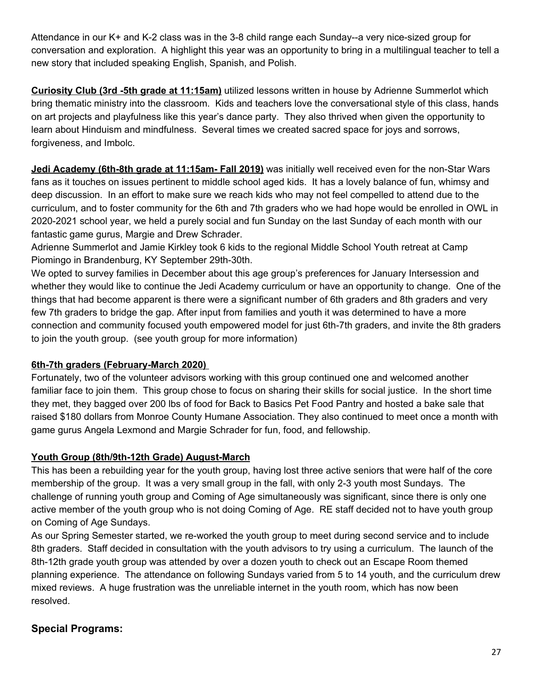Attendance in our K+ and K-2 class was in the 3-8 child range each Sunday--a very nice-sized group for conversation and exploration. A highlight this year was an opportunity to bring in a multilingual teacher to tell a new story that included speaking English, Spanish, and Polish.

**Curiosity Club (3rd -5th grade at 11:15am)** utilized lessons written in house by Adrienne Summerlot which bring thematic ministry into the classroom. Kids and teachers love the conversational style of this class, hands on art projects and playfulness like this year's dance party. They also thrived when given the opportunity to learn about Hinduism and mindfulness. Several times we created sacred space for joys and sorrows, forgiveness, and Imbolc.

**Jedi Academy (6th-8th grade at 11:15am- Fall 2019)** was initially well received even for the non-Star Wars fans as it touches on issues pertinent to middle school aged kids. It has a lovely balance of fun, whimsy and deep discussion. In an effort to make sure we reach kids who may not feel compelled to attend due to the curriculum, and to foster community for the 6th and 7th graders who we had hope would be enrolled in OWL in 2020-2021 school year, we held a purely social and fun Sunday on the last Sunday of each month with our fantastic game gurus, Margie and Drew Schrader.

Adrienne Summerlot and Jamie Kirkley took 6 kids to the regional Middle School Youth retreat at Camp Piomingo in Brandenburg, KY September 29th-30th.

We opted to survey families in December about this age group's preferences for January Intersession and whether they would like to continue the Jedi Academy curriculum or have an opportunity to change. One of the things that had become apparent is there were a significant number of 6th graders and 8th graders and very few 7th graders to bridge the gap. After input from families and youth it was determined to have a more connection and community focused youth empowered model for just 6th-7th graders, and invite the 8th graders to join the youth group. (see youth group for more information)

#### **6th-7th graders (February-March 2020)**

Fortunately, two of the volunteer advisors working with this group continued one and welcomed another familiar face to join them. This group chose to focus on sharing their skills for social justice. In the short time they met, they bagged over 200 lbs of food for Back to Basics Pet Food Pantry and hosted a bake sale that raised \$180 dollars from Monroe County Humane Association. They also continued to meet once a month with game gurus Angela Lexmond and Margie Schrader for fun, food, and fellowship.

#### **Youth Group (8th/9th-12th Grade) August-March**

This has been a rebuilding year for the youth group, having lost three active seniors that were half of the core membership of the group. It was a very small group in the fall, with only 2-3 youth most Sundays. The challenge of running youth group and Coming of Age simultaneously was significant, since there is only one active member of the youth group who is not doing Coming of Age. RE staff decided not to have youth group on Coming of Age Sundays.

As our Spring Semester started, we re-worked the youth group to meet during second service and to include 8th graders. Staff decided in consultation with the youth advisors to try using a curriculum. The launch of the 8th-12th grade youth group was attended by over a dozen youth to check out an Escape Room themed planning experience. The attendance on following Sundays varied from 5 to 14 youth, and the curriculum drew mixed reviews. A huge frustration was the unreliable internet in the youth room, which has now been resolved.

#### **Special Programs:**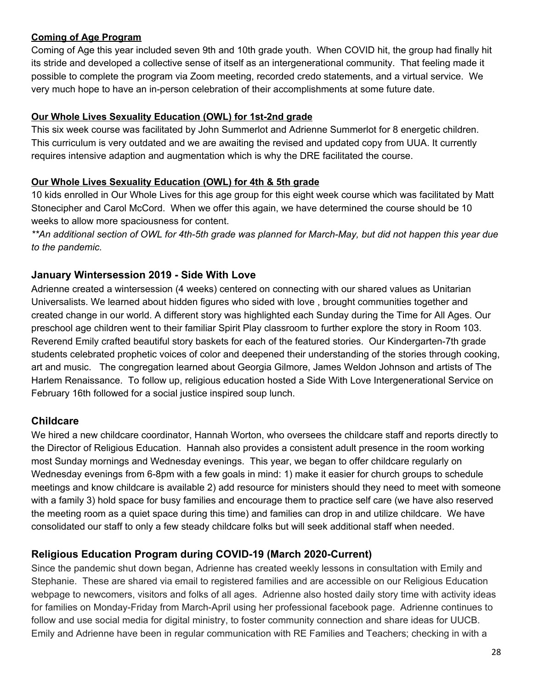#### **Coming of Age Program**

Coming of Age this year included seven 9th and 10th grade youth. When COVID hit, the group had finally hit its stride and developed a collective sense of itself as an intergenerational community. That feeling made it possible to complete the program via Zoom meeting, recorded credo statements, and a virtual service. We very much hope to have an in-person celebration of their accomplishments at some future date.

#### **Our Whole Lives Sexuality Education (OWL) for 1st-2nd grade**

This six week course was facilitated by John Summerlot and Adrienne Summerlot for 8 energetic children. This curriculum is very outdated and we are awaiting the revised and updated copy from UUA. It currently requires intensive adaption and augmentation which is why the DRE facilitated the course.

#### **Our Whole Lives Sexuality Education (OWL) for 4th & 5th grade**

10 kids enrolled in Our Whole Lives for this age group for this eight week course which was facilitated by Matt Stonecipher and Carol McCord. When we offer this again, we have determined the course should be 10 weeks to allow more spaciousness for content.

\*\*An additional section of OWL for 4th-5th grade was planned for March-May, but did not happen this year due *to the pandemic.*

#### **January Wintersession 2019 - Side With Love**

Adrienne created a wintersession (4 weeks) centered on connecting with our shared values as Unitarian Universalists. We learned about hidden figures who sided with love , brought communities together and created change in our world. A different story was highlighted each Sunday during the Time for All Ages. Our preschool age children went to their familiar Spirit Play classroom to further explore the story in Room 103. Reverend Emily crafted beautiful story baskets for each of the featured stories. Our Kindergarten-7th grade students celebrated prophetic voices of color and deepened their understanding of the stories through cooking, art and music. The congregation learned about Georgia Gilmore, James Weldon Johnson and artists of The Harlem Renaissance. To follow up, religious education hosted a Side With Love Intergenerational Service on February 16th followed for a social justice inspired soup lunch.

### **Childcare**

We hired a new childcare coordinator, Hannah Worton, who oversees the childcare staff and reports directly to the Director of Religious Education. Hannah also provides a consistent adult presence in the room working most Sunday mornings and Wednesday evenings. This year, we began to offer childcare regularly on Wednesday evenings from 6-8pm with a few goals in mind: 1) make it easier for church groups to schedule meetings and know childcare is available 2) add resource for ministers should they need to meet with someone with a family 3) hold space for busy families and encourage them to practice self care (we have also reserved the meeting room as a quiet space during this time) and families can drop in and utilize childcare. We have consolidated our staff to only a few steady childcare folks but will seek additional staff when needed.

### **Religious Education Program during COVID-19 (March 2020-Current)**

Since the pandemic shut down began, Adrienne has created weekly lessons in consultation with Emily and Stephanie. These are shared via email to registered families and are accessible on our Religious Education webpage to newcomers, visitors and folks of all ages. Adrienne also hosted daily story time with activity ideas for families on Monday-Friday from March-April using her professional facebook page. Adrienne continues to follow and use social media for digital ministry, to foster community connection and share ideas for UUCB. Emily and Adrienne have been in regular communication with RE Families and Teachers; checking in with a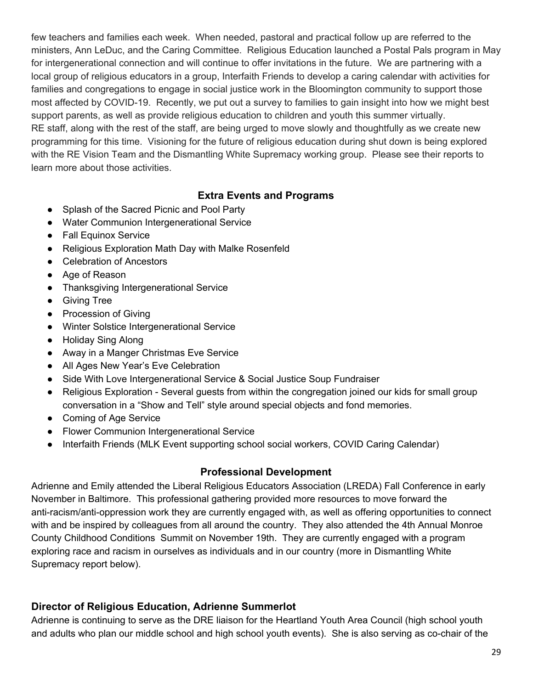few teachers and families each week. When needed, pastoral and practical follow up are referred to the ministers, Ann LeDuc, and the Caring Committee. Religious Education launched a Postal Pals program in May for intergenerational connection and will continue to offer invitations in the future. We are partnering with a local group of religious educators in a group, Interfaith Friends to develop a caring calendar with activities for families and congregations to engage in social justice work in the Bloomington community to support those most affected by COVID-19. Recently, we put out a survey to families to gain insight into how we might best support parents, as well as provide religious education to children and youth this summer virtually. RE staff, along with the rest of the staff, are being urged to move slowly and thoughtfully as we create new programming for this time. Visioning for the future of religious education during shut down is being explored with the RE Vision Team and the Dismantling White Supremacy working group. Please see their reports to learn more about those activities.

#### **Extra Events and Programs**

- Splash of the Sacred Picnic and Pool Party
- Water Communion Intergenerational Service
- Fall Equinox Service
- Religious Exploration Math Day with Malke Rosenfeld
- Celebration of Ancestors
- Age of Reason
- Thanksgiving Intergenerational Service
- Giving Tree
- Procession of Giving
- Winter Solstice Intergenerational Service
- Holiday Sing Along
- Away in a Manger Christmas Eve Service
- All Ages New Year's Eve Celebration
- Side With Love Intergenerational Service & Social Justice Soup Fundraiser
- Religious Exploration Several guests from within the congregation joined our kids for small group conversation in a "Show and Tell" style around special objects and fond memories.
- Coming of Age Service
- Flower Communion Intergenerational Service
- Interfaith Friends (MLK Event supporting school social workers, COVID Caring Calendar)

#### **Professional Development**

Adrienne and Emily attended the Liberal Religious Educators Association (LREDA) Fall Conference in early November in Baltimore. This professional gathering provided more resources to move forward the anti-racism/anti-oppression work they are currently engaged with, as well as offering opportunities to connect with and be inspired by colleagues from all around the country. They also attended the 4th Annual Monroe County Childhood Conditions Summit on November 19th. They are currently engaged with a program exploring race and racism in ourselves as individuals and in our country (more in Dismantling White Supremacy report below).

#### **Director of Religious Education, Adrienne Summerlot**

Adrienne is continuing to serve as the DRE liaison for the Heartland Youth Area Council (high school youth and adults who plan our middle school and high school youth events). She is also serving as co-chair of the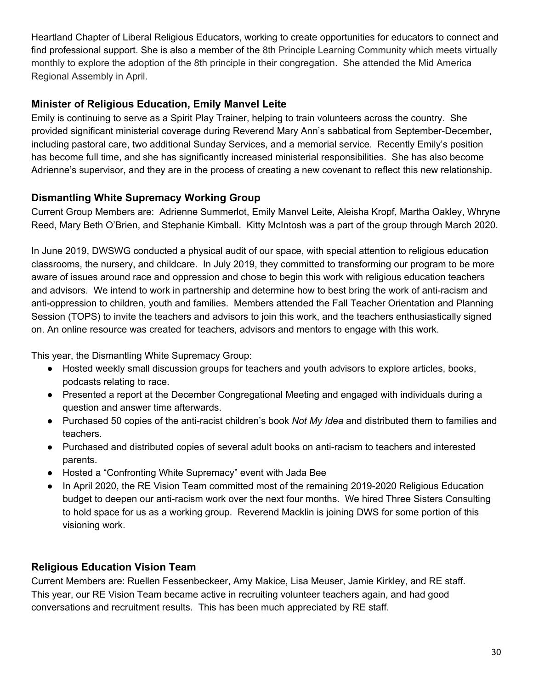Heartland Chapter of Liberal Religious Educators, working to create opportunities for educators to connect and find professional support. She is also a member of the 8th Principle Learning Community which meets virtually monthly to explore the adoption of the 8th principle in their congregation. She attended the Mid America Regional Assembly in April.

### **Minister of Religious Education, Emily Manvel Leite**

Emily is continuing to serve as a Spirit Play Trainer, helping to train volunteers across the country. She provided significant ministerial coverage during Reverend Mary Ann's sabbatical from September-December, including pastoral care, two additional Sunday Services, and a memorial service. Recently Emily's position has become full time, and she has significantly increased ministerial responsibilities. She has also become Adrienne's supervisor, and they are in the process of creating a new covenant to reflect this new relationship.

### **Dismantling White Supremacy Working Group**

Current Group Members are: Adrienne Summerlot, Emily Manvel Leite, Aleisha Kropf, Martha Oakley, Whryne Reed, Mary Beth O'Brien, and Stephanie Kimball. Kitty McIntosh was a part of the group through March 2020.

In June 2019, DWSWG conducted a physical audit of our space, with special attention to religious education classrooms, the nursery, and childcare. In July 2019, they committed to transforming our program to be more aware of issues around race and oppression and chose to begin this work with religious education teachers and advisors. We intend to work in partnership and determine how to best bring the work of anti-racism and anti-oppression to children, youth and families. Members attended the Fall Teacher Orientation and Planning Session (TOPS) to invite the teachers and advisors to join this work, and the teachers enthusiastically signed on. An online resource was created for teachers, advisors and mentors to engage with this work.

This year, the Dismantling White Supremacy Group:

- Hosted weekly small discussion groups for teachers and youth advisors to explore articles, books, podcasts relating to race.
- Presented a report at the December Congregational Meeting and engaged with individuals during a question and answer time afterwards.
- Purchased 50 copies of the anti-racist children's book *Not My Idea* and distributed them to families and teachers.
- Purchased and distributed copies of several adult books on anti-racism to teachers and interested parents.
- Hosted a "Confronting White Supremacy" event with Jada Bee
- In April 2020, the RE Vision Team committed most of the remaining 2019-2020 Religious Education budget to deepen our anti-racism work over the next four months. We hired Three Sisters Consulting to hold space for us as a working group. Reverend Macklin is joining DWS for some portion of this visioning work.

### **Religious Education Vision Team**

Current Members are: Ruellen Fessenbeckeer, Amy Makice, Lisa Meuser, Jamie Kirkley, and RE staff. This year, our RE Vision Team became active in recruiting volunteer teachers again, and had good conversations and recruitment results. This has been much appreciated by RE staff.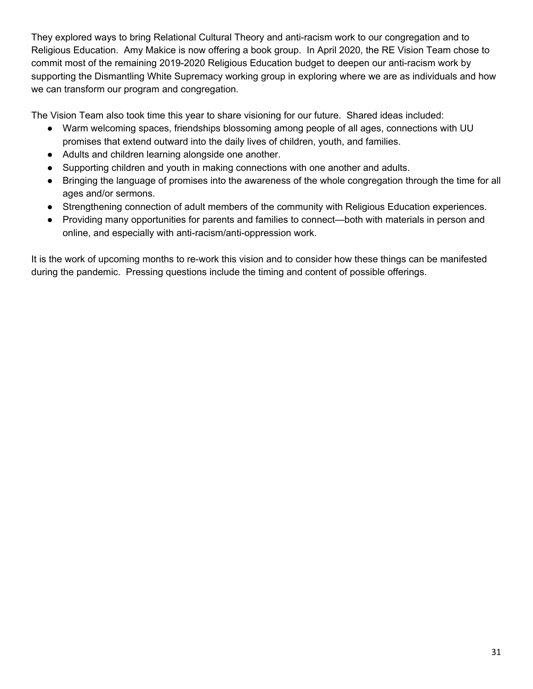They explored ways to bring Relational Cultural Theory and anti-racism work to our congregation and to Religious Education. Amy Makice is now offering a book group. In April 2020, the RE Vision Team chose to commit most of the remaining 2019-2020 Religious Education budget to deepen our anti-racism work by supporting the Dismantling White Supremacy working group in exploring where we are as individuals and how we can transform our program and congregation.

The Vision Team also took time this year to share visioning for our future. Shared ideas included:

- Warm welcoming spaces, friendships blossoming among people of all ages, connections with UU promises that extend outward into the daily lives of children, youth, and families.
- Adults and children learning alongside one another.
- Supporting children and youth in making connections with one another and adults.
- Bringing the language of promises into the awareness of the whole congregation through the time for all ages and/or sermons.
- Strengthening connection of adult members of the community with Religious Education experiences.
- Providing many opportunities for parents and families to connect—both with materials in person and online, and especially with anti-racism/anti-oppression work.

It is the work of upcoming months to re-work this vision and to consider how these things can be manifested during the pandemic. Pressing questions include the timing and content of possible offerings.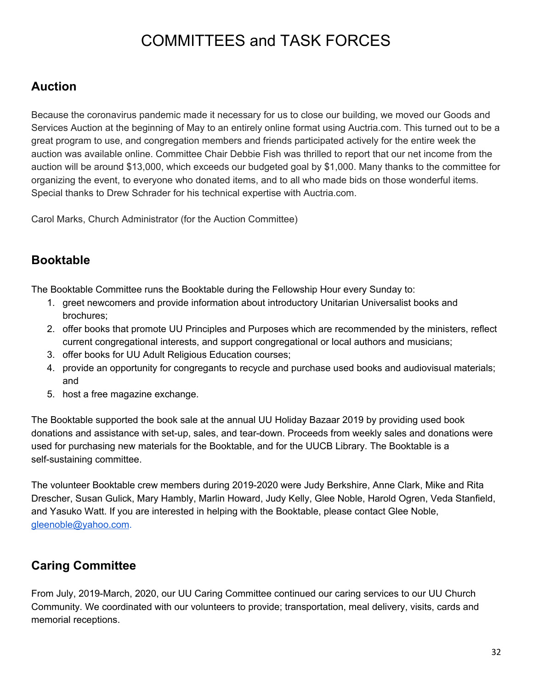# COMMITTEES and TASK FORCES

### <span id="page-31-0"></span>**Auction**

Because the coronavirus pandemic made it necessary for us to close our building, we moved our Goods and Services Auction at the beginning of May to an entirely online format using Auctria.com. This turned out to be a great program to use, and congregation members and friends participated actively for the entire week the auction was available online. Committee Chair Debbie Fish was thrilled to report that our net income from the auction will be around \$13,000, which exceeds our budgeted goal by \$1,000. Many thanks to the committee for organizing the event, to everyone who donated items, and to all who made bids on those wonderful items. Special thanks to Drew Schrader for his technical expertise with Auctria.com.

Carol Marks, Church Administrator (for the Auction Committee)

### <span id="page-31-1"></span>**Booktable**

The Booktable Committee runs the Booktable during the Fellowship Hour every Sunday to:

- 1. greet newcomers and provide information about introductory Unitarian Universalist books and brochures;
- 2. offer books that promote UU Principles and Purposes which are recommended by the ministers, reflect current congregational interests, and support congregational or local authors and musicians;
- 3. offer books for UU Adult Religious Education courses;
- 4. provide an opportunity for congregants to recycle and purchase used books and audiovisual materials; and
- 5. host a free magazine exchange.

The Booktable supported the book sale at the annual UU Holiday Bazaar 2019 by providing used book donations and assistance with set-up, sales, and tear-down. Proceeds from weekly sales and donations were used for purchasing new materials for the Booktable, and for the UUCB Library. The Booktable is a self-sustaining committee.

The volunteer Booktable crew members during 2019-2020 were Judy Berkshire, Anne Clark, Mike and Rita Drescher, Susan Gulick, Mary Hambly, Marlin Howard, Judy Kelly, Glee Noble, Harold Ogren, Veda Stanfield, and Yasuko Watt. If you are interested in helping with the Booktable, please contact Glee Noble, [gleenoble@yahoo.com](mailto:gleenoble@yahoo.com).

### <span id="page-31-2"></span>**Caring Committee**

From July, 2019-March, 2020, our UU Caring Committee continued our caring services to our UU Church Community. We coordinated with our volunteers to provide; transportation, meal delivery, visits, cards and memorial receptions.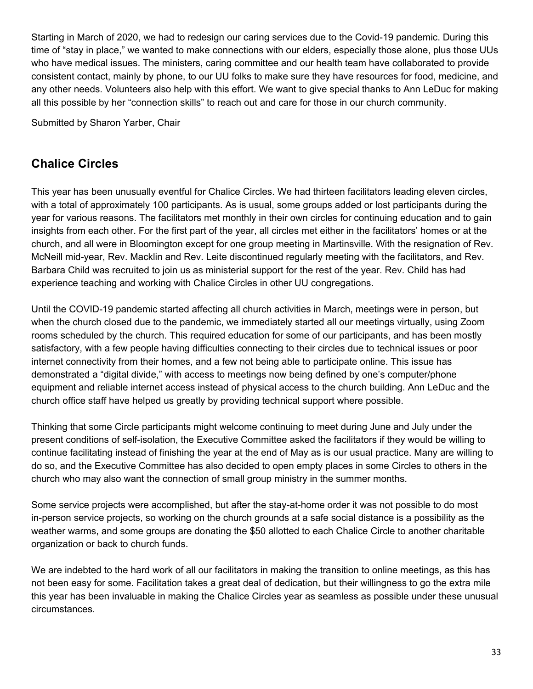Starting in March of 2020, we had to redesign our caring services due to the Covid-19 pandemic. During this time of "stay in place," we wanted to make connections with our elders, especially those alone, plus those UUs who have medical issues. The ministers, caring committee and our health team have collaborated to provide consistent contact, mainly by phone, to our UU folks to make sure they have resources for food, medicine, and any other needs. Volunteers also help with this effort. We want to give special thanks to Ann LeDuc for making all this possible by her "connection skills" to reach out and care for those in our church community.

Submitted by Sharon Yarber, Chair

### <span id="page-32-0"></span>**Chalice Circles**

This year has been unusually eventful for Chalice Circles. We had thirteen facilitators leading eleven circles, with a total of approximately 100 participants. As is usual, some groups added or lost participants during the year for various reasons. The facilitators met monthly in their own circles for continuing education and to gain insights from each other. For the first part of the year, all circles met either in the facilitators' homes or at the church, and all were in Bloomington except for one group meeting in Martinsville. With the resignation of Rev. McNeill mid-year, Rev. Macklin and Rev. Leite discontinued regularly meeting with the facilitators, and Rev. Barbara Child was recruited to join us as ministerial support for the rest of the year. Rev. Child has had experience teaching and working with Chalice Circles in other UU congregations.

Until the COVID-19 pandemic started affecting all church activities in March, meetings were in person, but when the church closed due to the pandemic, we immediately started all our meetings virtually, using Zoom rooms scheduled by the church. This required education for some of our participants, and has been mostly satisfactory, with a few people having difficulties connecting to their circles due to technical issues or poor internet connectivity from their homes, and a few not being able to participate online. This issue has demonstrated a "digital divide," with access to meetings now being defined by one's computer/phone equipment and reliable internet access instead of physical access to the church building. Ann LeDuc and the church office staff have helped us greatly by providing technical support where possible.

Thinking that some Circle participants might welcome continuing to meet during June and July under the present conditions of self-isolation, the Executive Committee asked the facilitators if they would be willing to continue facilitating instead of finishing the year at the end of May as is our usual practice. Many are willing to do so, and the Executive Committee has also decided to open empty places in some Circles to others in the church who may also want the connection of small group ministry in the summer months.

Some service projects were accomplished, but after the stay-at-home order it was not possible to do most in-person service projects, so working on the church grounds at a safe social distance is a possibility as the weather warms, and some groups are donating the \$50 allotted to each Chalice Circle to another charitable organization or back to church funds.

We are indebted to the hard work of all our facilitators in making the transition to online meetings, as this has not been easy for some. Facilitation takes a great deal of dedication, but their willingness to go the extra mile this year has been invaluable in making the Chalice Circles year as seamless as possible under these unusual circumstances.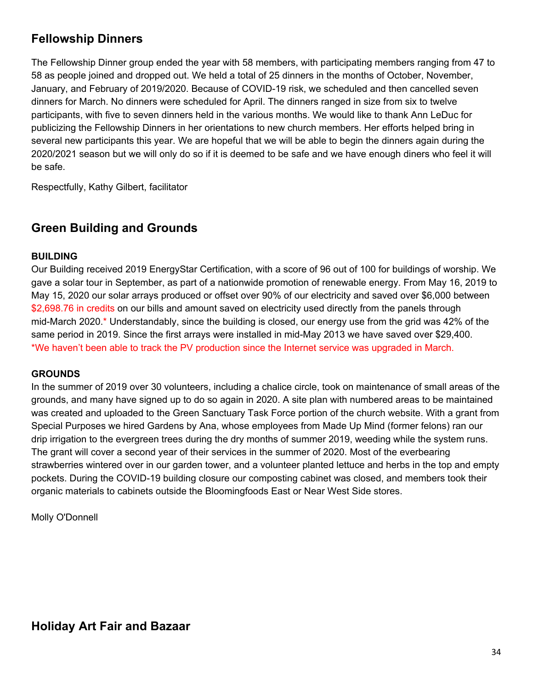### <span id="page-33-0"></span>**Fellowship Dinners**

The Fellowship Dinner group ended the year with 58 members, with participating members ranging from 47 to 58 as people joined and dropped out. We held a total of 25 dinners in the months of October, November, January, and February of 2019/2020. Because of COVID-19 risk, we scheduled and then cancelled seven dinners for March. No dinners were scheduled for April. The dinners ranged in size from six to twelve participants, with five to seven dinners held in the various months. We would like to thank Ann LeDuc for publicizing the Fellowship Dinners in her orientations to new church members. Her efforts helped bring in several new participants this year. We are hopeful that we will be able to begin the dinners again during the 2020/2021 season but we will only do so if it is deemed to be safe and we have enough diners who feel it will be safe.

Respectfully, Kathy Gilbert, facilitator

### <span id="page-33-1"></span>**Green Building and Grounds**

#### **BUILDING**

Our Building received 2019 EnergyStar Certification, with a score of 96 out of 100 for buildings of worship. We gave a solar tour in September, as part of a nationwide promotion of renewable energy. From May 16, 2019 to May 15, 2020 our solar arrays produced or offset over 90% of our electricity and saved over \$6,000 between \$2,698.76 in credits on our bills and amount saved on electricity used directly from the panels through mid-March 2020.\* Understandably, since the building is closed, our energy use from the grid was 42% of the same period in 2019. Since the first arrays were installed in mid-May 2013 we have saved over \$29,400. \*We haven't been able to track the PV production since the Internet service was upgraded in March.

#### **GROUNDS**

In the summer of 2019 over 30 volunteers, including a chalice circle, took on maintenance of small areas of the grounds, and many have signed up to do so again in 2020. A site plan with numbered areas to be maintained was created and uploaded to the Green Sanctuary Task Force portion of the church website. With a grant from Special Purposes we hired Gardens by Ana, whose employees from Made Up Mind (former felons) ran our drip irrigation to the evergreen trees during the dry months of summer 2019, weeding while the system runs. The grant will cover a second year of their services in the summer of 2020. Most of the everbearing strawberries wintered over in our garden tower, and a volunteer planted lettuce and herbs in the top and empty pockets. During the COVID-19 building closure our composting cabinet was closed, and members took their organic materials to cabinets outside the Bloomingfoods East or Near West Side stores.

<span id="page-33-2"></span>Molly O'Donnell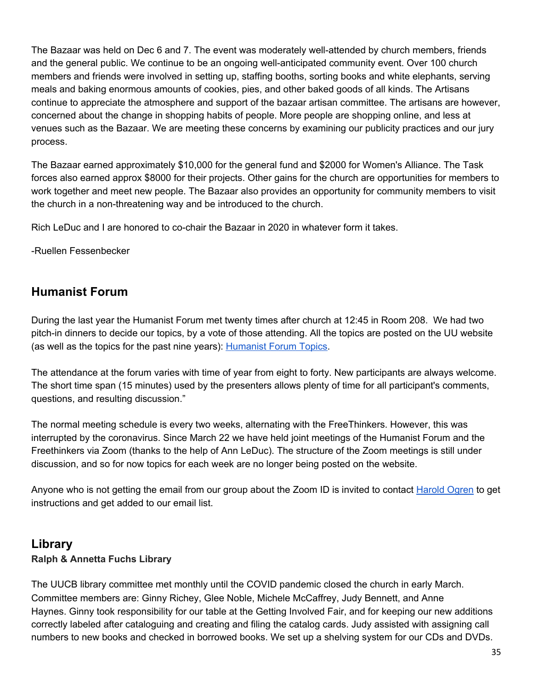The Bazaar was held on Dec 6 and 7. The event was moderately well-attended by church members, friends and the general public. We continue to be an ongoing well-anticipated community event. Over 100 church members and friends were involved in setting up, staffing booths, sorting books and white elephants, serving meals and baking enormous amounts of cookies, pies, and other baked goods of all kinds. The Artisans continue to appreciate the atmosphere and support of the bazaar artisan committee. The artisans are however, concerned about the change in shopping habits of people. More people are shopping online, and less at venues such as the Bazaar. We are meeting these concerns by examining our publicity practices and our jury process.

The Bazaar earned approximately \$10,000 for the general fund and \$2000 for Women's Alliance. The Task forces also earned approx \$8000 for their projects. Other gains for the church are opportunities for members to work together and meet new people. The Bazaar also provides an opportunity for community members to visit the church in a non-threatening way and be introduced to the church.

Rich LeDuc and I are honored to co-chair the Bazaar in 2020 in whatever form it takes.

-Ruellen Fessenbecker

### <span id="page-34-0"></span>**Humanist Forum**

During the last year the Humanist Forum met twenty times after church at 12:45 in Room 208. We had two pitch-in dinners to decide our topics, by a vote of those attending. All the topics are posted on the UU website (as well as the topics for the past nine years): [Humanist](http://www.uubloomington.org/getting-involved/uu-humanists-freethinkers/humanist-forum-topics/) Forum Topics.

The attendance at the forum varies with time of year from eight to forty. New participants are always welcome. The short time span (15 minutes) used by the presenters allows plenty of time for all participant's comments, questions, and resulting discussion."

The normal meeting schedule is every two weeks, alternating with the FreeThinkers. However, this was interrupted by the coronavirus. Since March 22 we have held joint meetings of the Humanist Forum and the Freethinkers via Zoom (thanks to the help of Ann LeDuc). The structure of the Zoom meetings is still under discussion, and so for now topics for each week are no longer being posted on the website.

Anyone who is not getting the email from our group about the Zoom ID is invited to contact [Harold](mailto:ogrenh@gmail.com) Ogren to get instructions and get added to our email list.

### <span id="page-34-1"></span>**Library Ralph & Annetta Fuchs Library**

The UUCB library committee met monthly until the COVID pandemic closed the church in early March. Committee members are: Ginny Richey, Glee Noble, Michele McCaffrey, Judy Bennett, and Anne Haynes. Ginny took responsibility for our table at the Getting Involved Fair, and for keeping our new additions correctly labeled after cataloguing and creating and filing the catalog cards. Judy assisted with assigning call numbers to new books and checked in borrowed books. We set up a shelving system for our CDs and DVDs.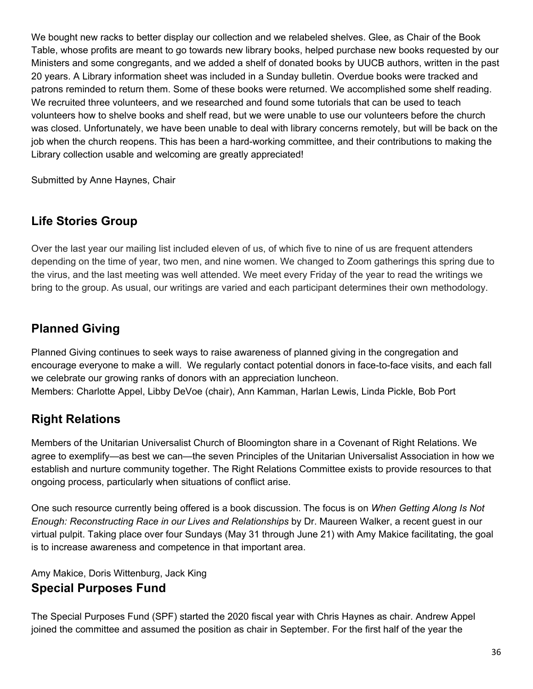We bought new racks to better display our collection and we relabeled shelves. Glee, as Chair of the Book Table, whose profits are meant to go towards new library books, helped purchase new books requested by our Ministers and some congregants, and we added a shelf of donated books by UUCB authors, written in the past 20 years. A Library information sheet was included in a Sunday bulletin. Overdue books were tracked and patrons reminded to return them. Some of these books were returned. We accomplished some shelf reading. We recruited three volunteers, and we researched and found some tutorials that can be used to teach volunteers how to shelve books and shelf read, but we were unable to use our volunteers before the church was closed. Unfortunately, we have been unable to deal with library concerns remotely, but will be back on the job when the church reopens. This has been a hard-working committee, and their contributions to making the Library collection usable and welcoming are greatly appreciated!

Submitted by Anne Haynes, Chair

### <span id="page-35-0"></span>**Life Stories Group**

Over the last year our mailing list included eleven of us, of which five to nine of us are frequent attenders depending on the time of year, two men, and nine women. We changed to Zoom gatherings this spring due to the virus, and the last meeting was well attended. We meet every Friday of the year to read the writings we bring to the group. As usual, our writings are varied and each participant determines their own methodology.

### <span id="page-35-1"></span>**Planned Giving**

Planned Giving continues to seek ways to raise awareness of planned giving in the congregation and encourage everyone to make a will. We regularly contact potential donors in face-to-face visits, and each fall we celebrate our growing ranks of donors with an appreciation luncheon. Members: Charlotte Appel, Libby DeVoe (chair), Ann Kamman, Harlan Lewis, Linda Pickle, Bob Port

### <span id="page-35-2"></span>**Right Relations**

Members of the Unitarian Universalist Church of Bloomington share in a Covenant of Right Relations. We agree to exemplify—as best we can—the seven Principles of the Unitarian Universalist Association in how we establish and nurture community together. The Right Relations Committee exists to provide resources to that ongoing process, particularly when situations of conflict arise.

One such resource currently being offered is a book discussion. The focus is on *When Getting Along Is Not Enough: Reconstructing Race in our Lives and Relationships* by Dr. Maureen Walker, a recent guest in our virtual pulpit. Taking place over four Sundays (May 31 through June 21) with Amy Makice facilitating, the goal is to increase awareness and competence in that important area.

<span id="page-35-3"></span>Amy Makice, Doris Wittenburg, Jack King **Special Purposes Fund**

The Special Purposes Fund (SPF) started the 2020 fiscal year with Chris Haynes as chair. Andrew Appel joined the committee and assumed the position as chair in September. For the first half of the year the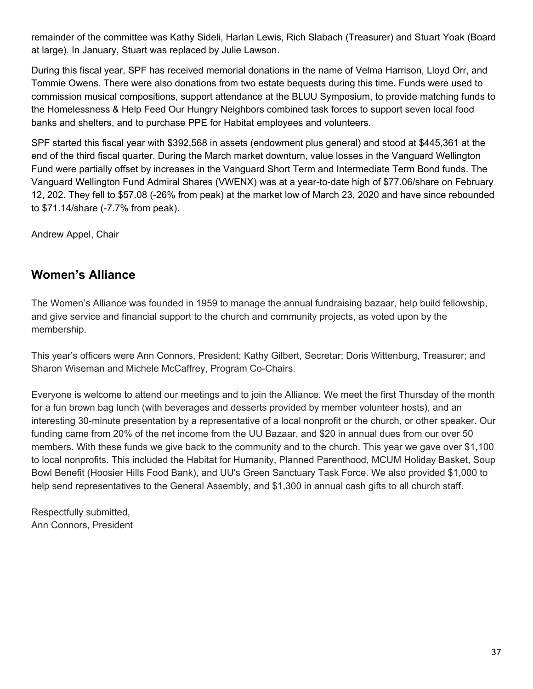remainder of the committee was Kathy Sideli, Harlan Lewis, Rich Slabach (Treasurer) and Stuart Yoak (Board at large). In January, Stuart was replaced by Julie Lawson.

During this fiscal year, SPF has received memorial donations in the name of Velma Harrison, Lloyd Orr, and Tommie Owens. There were also donations from two estate bequests during this time. Funds were used to commission musical compositions, support attendance at the BLUU Symposium, to provide matching funds to the Homelessness & Help Feed Our Hungry Neighbors combined task forces to support seven local food banks and shelters, and to purchase PPE for Habitat employees and volunteers.

SPF started this fiscal year with \$392,568 in assets (endowment plus general) and stood at \$445,361 at the end of the third fiscal quarter. During the March market downturn, value losses in the Vanguard Wellington Fund were partially offset by increases in the Vanguard Short Term and Intermediate Term Bond funds. The Vanguard Wellington Fund Admiral Shares (VWENX) was at a year-to-date high of \$77.06/share on February 12, 202. They fell to \$57.08 (-26% from peak) at the market low of March 23, 2020 and have since rebounded to \$71.14/share (-7.7% from peak).

Andrew Appel, Chair

### <span id="page-36-0"></span>**Women's Alliance**

The Women's Alliance was founded in 1959 to manage the annual fundraising bazaar, help build fellowship, and give service and financial support to the church and community projects, as voted upon by the membership.

This year's officers were Ann Connors, President; Kathy Gilbert, Secretar; Doris Wittenburg, Treasurer; and Sharon Wiseman and Michele McCaffrey, Program Co-Chairs.

Everyone is welcome to attend our meetings and to join the Alliance. We meet the first Thursday of the month for a fun brown bag lunch (with beverages and desserts provided by member volunteer hosts), and an interesting 30-minute presentation by a representative of a local nonprofit or the church, or other speaker. Our funding came from 20% of the net income from the UU Bazaar, and \$20 in annual dues from our over 50 members. With these funds we give back to the community and to the church. This year we gave over \$1,100 to local nonprofits. This included the Habitat for Humanity, Planned Parenthood, MCUM Holiday Basket, Soup Bowl Benefit (Hoosier Hills Food Bank), and UU's Green Sanctuary Task Force. We also provided \$1,000 to help send representatives to the General Assembly, and \$1,300 in annual cash gifts to all church staff.

Respectfully submitted, Ann Connors, President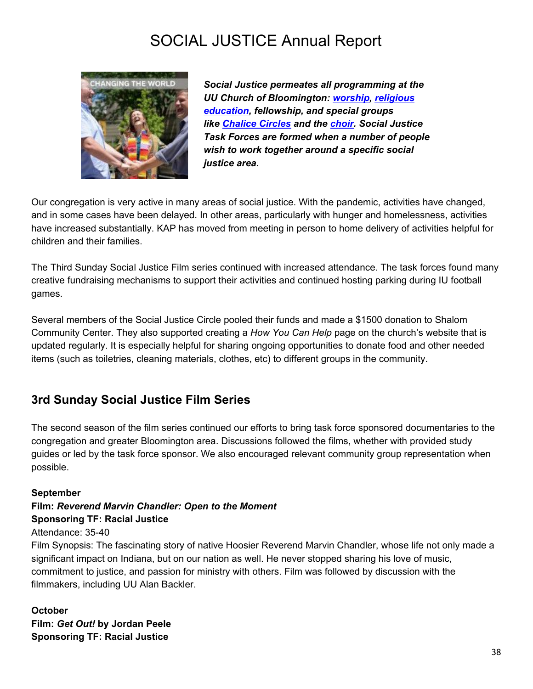# <span id="page-37-0"></span>SOCIAL JUSTICE Annual Report



*Social Justice permeates all programming at the UU Church of Bloomington: [worship](http://www.uubloomington.org/worship-services/), [religious](http://www.uubloomington.org/religious-education/re-for-children-youth/) [education,](http://www.uubloomington.org/religious-education/re-for-children-youth/) fellowship, and special groups like [Chalice](http://www.uubloomington.org/chalice-circle-meetings/) Circles and the [choir](http://www.uubloomington.org/worship-services/music-choir/). Social Justice Task Forces are formed when a number of people wish to work together around a specific social justice area.*

Our congregation is very active in many areas of social justice. With the pandemic, activities have changed, and in some cases have been delayed. In other areas, particularly with hunger and homelessness, activities have increased substantially. KAP has moved from meeting in person to home delivery of activities helpful for children and their families.

The Third Sunday Social Justice Film series continued with increased attendance. The task forces found many creative fundraising mechanisms to support their activities and continued hosting parking during IU football games.

Several members of the Social Justice Circle pooled their funds and made a \$1500 donation to Shalom Community Center. They also supported creating a *How You Can Help* page on the church's website that is updated regularly. It is especially helpful for sharing ongoing opportunities to donate food and other needed items (such as toiletries, cleaning materials, clothes, etc) to different groups in the community.

### <span id="page-37-1"></span>**3rd Sunday Social Justice Film Series**

The second season of the film series continued our efforts to bring task force sponsored documentaries to the congregation and greater Bloomington area. Discussions followed the films, whether with provided study guides or led by the task force sponsor. We also encouraged relevant community group representation when possible.

#### **September**

#### **Film:** *Reverend Marvin Chandler: Open to the Moment* **Sponsoring TF: Racial Justice**

#### Attendance: 35-40

Film Synopsis: The fascinating story of native Hoosier Reverend Marvin Chandler, whose life not only made a significant impact on Indiana, but on our nation as well. He never stopped sharing his love of music, commitment to justice, and passion for ministry with others. Film was followed by discussion with the filmmakers, including UU Alan Backler.

#### **October**

**Film:** *Get Out!* **by Jordan Peele Sponsoring TF: Racial Justice**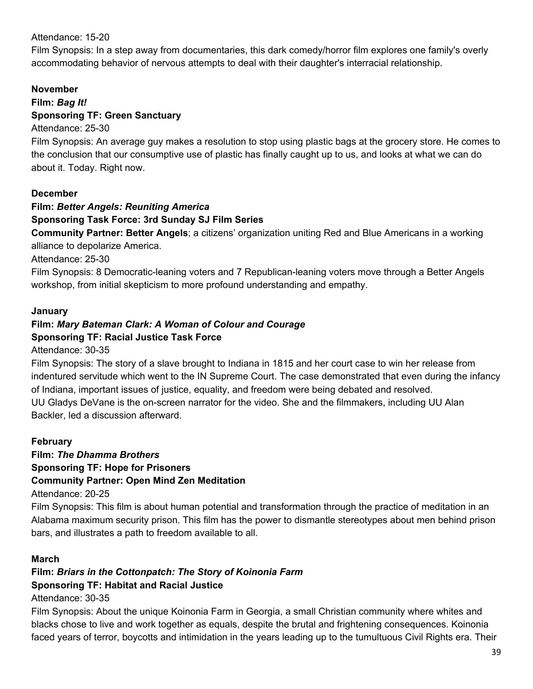#### Attendance: 15-20

Film Synopsis: In a step away from documentaries, this dark comedy/horror film explores one family's overly accommodating behavior of nervous attempts to deal with their daughter's interracial relationship.

#### **November**

#### **Film:** *Bag It!* **Sponsoring TF: Green Sanctuary**

#### Attendance: 25-30

Film Synopsis: An average guy makes a resolution to stop using plastic bags at the grocery store. He comes to the conclusion that our consumptive use of plastic has finally caught up to us, and looks at what we can do about it. Today. Right now.

#### **December**

#### **Film:** *Better Angels: Reuniting America*

#### **Sponsoring Task Force: 3rd Sunday SJ Film Series**

**Community Partner: Better Angels**; a citizens' organization uniting Red and Blue Americans in a working alliance to depolarize America.

Attendance: 25-30

Film Synopsis: 8 Democratic-leaning voters and 7 Republican-leaning voters move through a Better Angels workshop, from initial skepticism to more profound understanding and empathy.

#### **January**

# **Film:** *Mary Bateman Clark: A Woman of Colour and Courage*

### **Sponsoring TF: Racial Justice Task Force**

Attendance: 30-35

Film Synopsis: The story of a slave brought to Indiana in 1815 and her court case to win her release from indentured servitude which went to the IN Supreme Court. The case demonstrated that even during the infancy of Indiana, important issues of justice, equality, and freedom were being debated and resolved. UU Gladys DeVane is the on-screen narrator for the video. She and the filmmakers, including UU Alan Backler, led a discussion afterward.

#### **February**

#### **Film:** *The Dhamma Brothers* **Sponsoring TF: Hope for Prisoners Community Partner: Open Mind Zen Meditation**

Attendance: 20-25

Film Synopsis: This film is about human potential and transformation through the practice of meditation in an Alabama maximum security prison. This film has the power to dismantle stereotypes about men behind prison bars, and illustrates a path to freedom available to all.

#### **March**

#### **Film:** *Briars in the Cottonpatch: The Story of Koinonia Farm*

#### **Sponsoring TF: Habitat and Racial Justice**

Attendance: 30-35

Film Synopsis: About the unique Koinonia Farm in Georgia, a small Christian community where whites and blacks chose to live and work together as equals, despite the brutal and frightening consequences. Koinonia faced years of terror, boycotts and intimidation in the years leading up to the tumultuous Civil Rights era. Their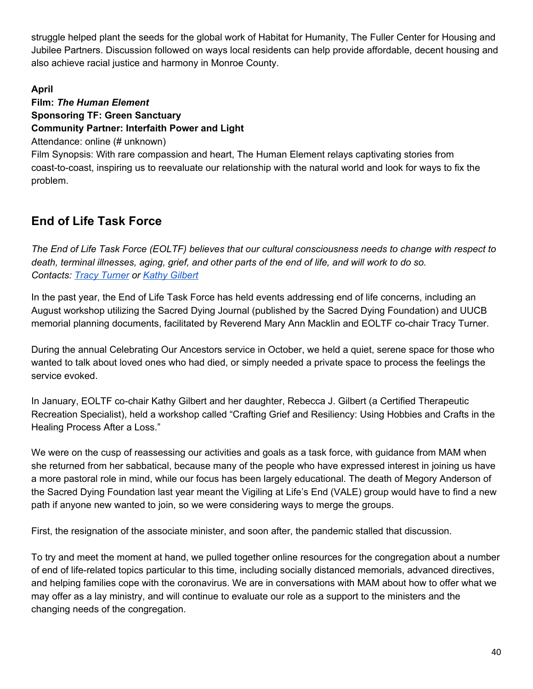struggle helped plant the seeds for the global work of Habitat for Humanity, The Fuller Center for Housing and Jubilee Partners. Discussion followed on ways local residents can help provide affordable, decent housing and also achieve racial justice and harmony in Monroe County.

#### **April**

### **Film:** *The Human Element* **Sponsoring TF: Green Sanctuary Community Partner: Interfaith Power and Light**

Attendance: online (# unknown)

Film Synopsis: With rare compassion and heart, The Human Element relays captivating stories from coast-to-coast, inspiring us to reevaluate our relationship with the natural world and look for ways to fix the problem.

### <span id="page-39-0"></span>**End of Life Task Force**

The End of Life Task Force (EOLTF) believes that our cultural consciousness needs to change with respect to death, terminal illnesses, aging, grief, and other parts of the end of life, and will work to do so. *Contacts: Tracy [Turner](mailto:tzt@writearm.com) or Kathy [Gilbert](mailto:gilbertk@indiana.edu)*

In the past year, the End of Life Task Force has held events addressing end of life concerns, including an August workshop utilizing the Sacred Dying Journal (published by the Sacred Dying Foundation) and UUCB memorial planning documents, facilitated by Reverend Mary Ann Macklin and EOLTF co-chair Tracy Turner.

During the annual Celebrating Our Ancestors service in October, we held a quiet, serene space for those who wanted to talk about loved ones who had died, or simply needed a private space to process the feelings the service evoked.

In January, EOLTF co-chair Kathy Gilbert and her daughter, Rebecca J. Gilbert (a Certified Therapeutic Recreation Specialist), held a workshop called "Crafting Grief and Resiliency: Using Hobbies and Crafts in the Healing Process After a Loss."

We were on the cusp of reassessing our activities and goals as a task force, with guidance from MAM when she returned from her sabbatical, because many of the people who have expressed interest in joining us have a more pastoral role in mind, while our focus has been largely educational. The death of Megory Anderson of the Sacred Dying Foundation last year meant the Vigiling at Life's End (VALE) group would have to find a new path if anyone new wanted to join, so we were considering ways to merge the groups.

First, the resignation of the associate minister, and soon after, the pandemic stalled that discussion.

To try and meet the moment at hand, we pulled together online resources for the congregation about a number of end of life-related topics particular to this time, including socially distanced memorials, advanced directives, and helping families cope with the coronavirus. We are in conversations with MAM about how to offer what we may offer as a lay ministry, and will continue to evaluate our role as a support to the ministers and the changing needs of the congregation.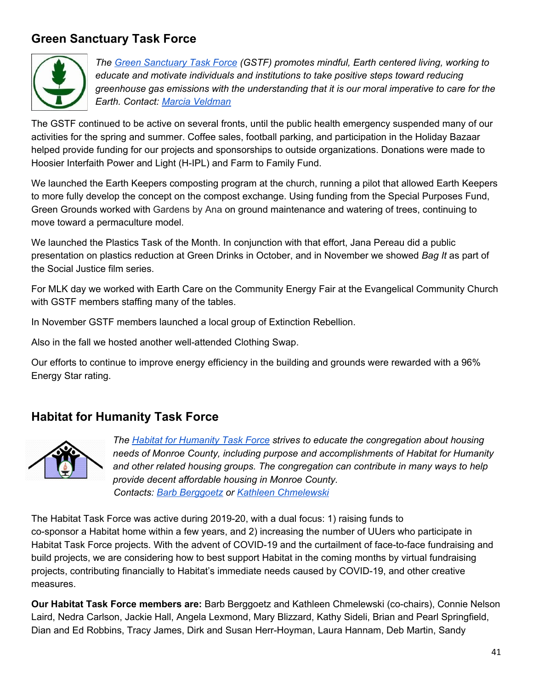### <span id="page-40-0"></span>**Green Sanctuary Task Force**



*The Green [Sanctuary](http://www.uubloomington.org/social-justice/green-sanctuary/) Task Force (GSTF) promotes mindful, Earth centered living, working to educate and motivate individuals and institutions to take positive steps toward reducing greenhouse gas emissions with the understanding that it is our moral imperative to care for the Earth. Contact: Marcia [Veldman](mailto:marciaveldman@gmail.com)*

The GSTF continued to be active on several fronts, until the public health emergency suspended many of our activities for the spring and summer. Coffee sales, football parking, and participation in the Holiday Bazaar helped provide funding for our projects and sponsorships to outside organizations. Donations were made to Hoosier Interfaith Power and Light (H-IPL) and Farm to Family Fund.

We launched the Earth Keepers composting program at the church, running a pilot that allowed Earth Keepers to more fully develop the concept on the compost exchange. Using funding from the Special Purposes Fund, Green Grounds worked with Gardens by Ana on ground maintenance and watering of trees, continuing to move toward a permaculture model.

We launched the Plastics Task of the Month. In conjunction with that effort, Jana Pereau did a public presentation on plastics reduction at Green Drinks in October, and in November we showed *Bag It* as part of the Social Justice film series.

For MLK day we worked with Earth Care on the Community Energy Fair at the Evangelical Community Church with GSTF members staffing many of the tables.

In November GSTF members launched a local group of Extinction Rebellion.

Also in the fall we hosted another well-attended Clothing Swap.

Our efforts to continue to improve energy efficiency in the building and grounds were rewarded with a 96% Energy Star rating.

### <span id="page-40-1"></span>**Habitat for Humanity Task Force**



*The Habitat for [Humanity](http://www.uubloomington.org/social-justice/habitat-for-humanity-task-force/) Task Force strives to educate the congregation about housing needs of Monroe County, including purpose and accomplishments of Habitat for Humanity and other related housing groups. The congregation can contribute in many ways to help provide decent affordable housing in Monroe County. Contacts: Barb [Berggoetz](mailto:barbberg@bluemarble.net) or Kathleen [Chmelewski](mailto:kathleen.chmelewski@gmail.com)*

The Habitat Task Force was active during 2019-20, with a dual focus: 1) raising funds to co-sponsor a Habitat home within a few years, and 2) increasing the number of UUers who participate in Habitat Task Force projects. With the advent of COVID-19 and the curtailment of face-to-face fundraising and build projects, we are considering how to best support Habitat in the coming months by virtual fundraising projects, contributing financially to Habitat's immediate needs caused by COVID-19, and other creative measures.

**Our Habitat Task Force members are:** Barb Berggoetz and Kathleen Chmelewski (co-chairs), Connie Nelson Laird, Nedra Carlson, Jackie Hall, Angela Lexmond, Mary Blizzard, Kathy Sideli, Brian and Pearl Springfield, Dian and Ed Robbins, Tracy James, Dirk and Susan Herr-Hoyman, Laura Hannam, Deb Martin, Sandy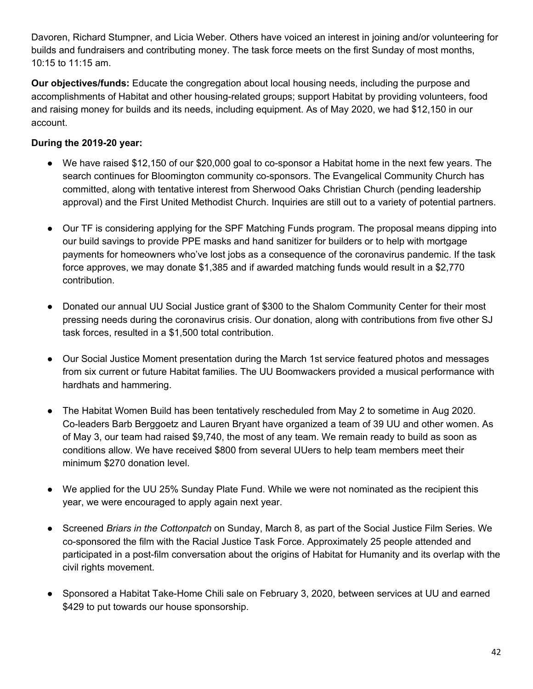Davoren, Richard Stumpner, and Licia Weber. Others have voiced an interest in joining and/or volunteering for builds and fundraisers and contributing money. The task force meets on the first Sunday of most months, 10:15 to 11:15 am.

**Our objectives/funds:** Educate the congregation about local housing needs, including the purpose and accomplishments of Habitat and other housing-related groups; support Habitat by providing volunteers, food and raising money for builds and its needs, including equipment. As of May 2020, we had \$12,150 in our account.

#### **During the 2019-20 year:**

- We have raised \$12,150 of our \$20,000 goal to co-sponsor a Habitat home in the next few years. The search continues for Bloomington community co-sponsors. The Evangelical Community Church has committed, along with tentative interest from Sherwood Oaks Christian Church (pending leadership approval) and the First United Methodist Church. Inquiries are still out to a variety of potential partners.
- Our TF is considering applying for the SPF Matching Funds program. The proposal means dipping into our build savings to provide PPE masks and hand sanitizer for builders or to help with mortgage payments for homeowners who've lost jobs as a consequence of the coronavirus pandemic. If the task force approves, we may donate \$1,385 and if awarded matching funds would result in a \$2,770 contribution.
- Donated our annual UU Social Justice grant of \$300 to the Shalom Community Center for their most pressing needs during the coronavirus crisis. Our donation, along with contributions from five other SJ task forces, resulted in a \$1,500 total contribution.
- Our Social Justice Moment presentation during the March 1st service featured photos and messages from six current or future Habitat families. The UU Boomwackers provided a musical performance with hardhats and hammering.
- The Habitat Women Build has been tentatively rescheduled from May 2 to sometime in Aug 2020. Co-leaders Barb Berggoetz and Lauren Bryant have organized a team of 39 UU and other women. As of May 3, our team had raised \$9,740, the most of any team. We remain ready to build as soon as conditions allow. We have received \$800 from several UUers to help team members meet their minimum \$270 donation level.
- We applied for the UU 25% Sunday Plate Fund. While we were not nominated as the recipient this year, we were encouraged to apply again next year.
- Screened *Briars in the Cottonpatch* on Sunday, March 8, as part of the Social Justice Film Series. We co-sponsored the film with the Racial Justice Task Force. Approximately 25 people attended and participated in a post-film conversation about the origins of Habitat for Humanity and its overlap with the civil rights movement.
- Sponsored a Habitat Take-Home Chili sale on February 3, 2020, between services at UU and earned \$429 to put towards our house sponsorship.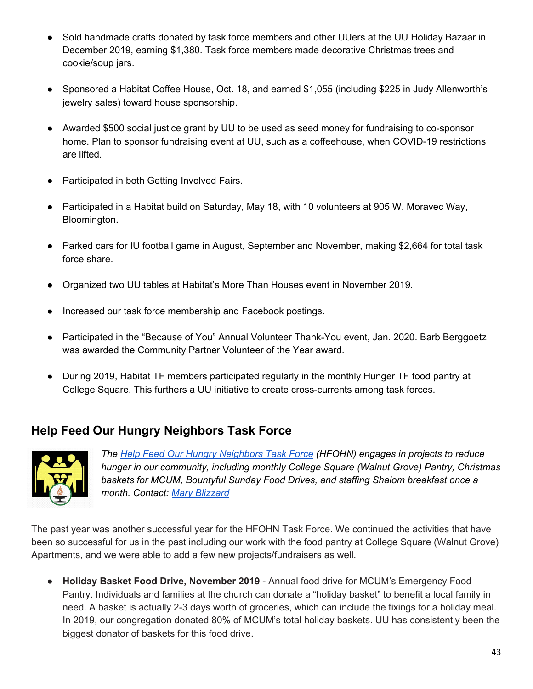- Sold handmade crafts donated by task force members and other UUers at the UU Holiday Bazaar in December 2019, earning \$1,380. Task force members made decorative Christmas trees and cookie/soup jars.
- Sponsored a Habitat Coffee House, Oct. 18, and earned \$1,055 (including \$225 in Judy Allenworth's jewelry sales) toward house sponsorship.
- Awarded \$500 social justice grant by UU to be used as seed money for fundraising to co-sponsor home. Plan to sponsor fundraising event at UU, such as a coffeehouse, when COVID-19 restrictions are lifted.
- Participated in both Getting Involved Fairs.
- Participated in a Habitat build on Saturday, May 18, with 10 volunteers at 905 W. Moravec Way, Bloomington.
- Parked cars for IU football game in August, September and November, making \$2,664 for total task force share.
- Organized two UU tables at Habitat's More Than Houses event in November 2019.
- Increased our task force membership and Facebook postings.
- Participated in the "Because of You" Annual Volunteer Thank-You event, Jan. 2020. Barb Berggoetz was awarded the Community Partner Volunteer of the Year award.
- During 2019, Habitat TF members participated regularly in the monthly Hunger TF food pantry at College Square. This furthers a UU initiative to create cross-currents among task forces.

### <span id="page-42-0"></span>**Help Feed Our Hungry Neighbors Task Force**



*The Help Feed Our Hungry [Neighbors](http://www.uubloomington.org/social-justice/help-feed-our-hungry-neighbors-task-force/) Task Force (HFOHN) engages in projects to reduce hunger in our community, including monthly College Square (Walnut Grove) Pantry, Christmas baskets for MCUM, Bountyful Sunday Food Drives, and staffing Shalom breakfast once a month. Contact: Mary [Blizzard](mailto:maryblizzard6@gmail.com)*

The past year was another successful year for the HFOHN Task Force. We continued the activities that have been so successful for us in the past including our work with the food pantry at College Square (Walnut Grove) Apartments, and we were able to add a few new projects/fundraisers as well.

● **Holiday Basket Food Drive, November 2019** - Annual food drive for MCUM's Emergency Food Pantry. Individuals and families at the church can donate a "holiday basket" to benefit a local family in need. A basket is actually 2-3 days worth of groceries, which can include the fixings for a holiday meal. In 2019, our congregation donated 80% of MCUM's total holiday baskets. UU has consistently been the biggest donator of baskets for this food drive.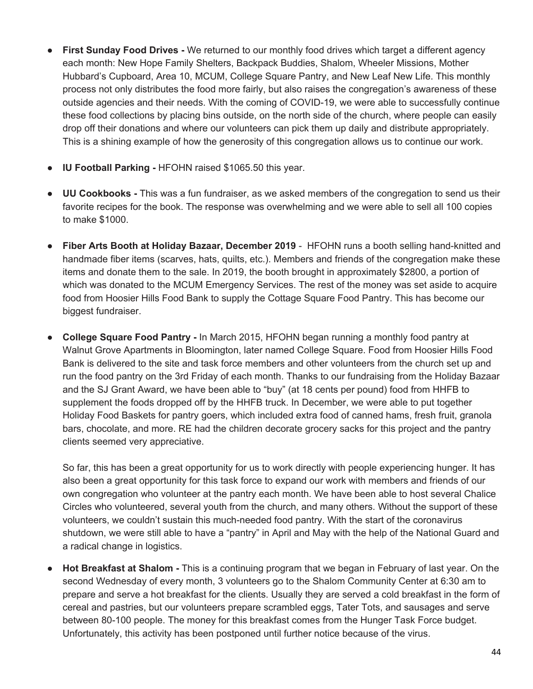- **First Sunday Food Drives -** We returned to our monthly food drives which target a different agency each month: New Hope Family Shelters, Backpack Buddies, Shalom, Wheeler Missions, Mother Hubbard's Cupboard, Area 10, MCUM, College Square Pantry, and New Leaf New Life. This monthly process not only distributes the food more fairly, but also raises the congregation's awareness of these outside agencies and their needs. With the coming of COVID-19, we were able to successfully continue these food collections by placing bins outside, on the north side of the church, where people can easily drop off their donations and where our volunteers can pick them up daily and distribute appropriately. This is a shining example of how the generosity of this congregation allows us to continue our work.
- **IU Football Parking -** HFOHN raised \$1065.50 this year.
- **UU Cookbooks -** This was a fun fundraiser, as we asked members of the congregation to send us their favorite recipes for the book. The response was overwhelming and we were able to sell all 100 copies to make \$1000.
- **Fiber Arts Booth at Holiday Bazaar, December 2019** HFOHN runs a booth selling hand-knitted and handmade fiber items (scarves, hats, quilts, etc.). Members and friends of the congregation make these items and donate them to the sale. In 2019, the booth brought in approximately \$2800, a portion of which was donated to the MCUM Emergency Services. The rest of the money was set aside to acquire food from Hoosier Hills Food Bank to supply the Cottage Square Food Pantry. This has become our biggest fundraiser.
- **College Square Food Pantry -** In March 2015, HFOHN began running a monthly food pantry at Walnut Grove Apartments in Bloomington, later named College Square. Food from Hoosier Hills Food Bank is delivered to the site and task force members and other volunteers from the church set up and run the food pantry on the 3rd Friday of each month. Thanks to our fundraising from the Holiday Bazaar and the SJ Grant Award, we have been able to "buy" (at 18 cents per pound) food from HHFB to supplement the foods dropped off by the HHFB truck. In December, we were able to put together Holiday Food Baskets for pantry goers, which included extra food of canned hams, fresh fruit, granola bars, chocolate, and more. RE had the children decorate grocery sacks for this project and the pantry clients seemed very appreciative.

So far, this has been a great opportunity for us to work directly with people experiencing hunger. It has also been a great opportunity for this task force to expand our work with members and friends of our own congregation who volunteer at the pantry each month. We have been able to host several Chalice Circles who volunteered, several youth from the church, and many others. Without the support of these volunteers, we couldn't sustain this much-needed food pantry. With the start of the coronavirus shutdown, we were still able to have a "pantry" in April and May with the help of the National Guard and a radical change in logistics.

**Hot Breakfast at Shalom -** This is a continuing program that we began in February of last year. On the second Wednesday of every month, 3 volunteers go to the Shalom Community Center at 6:30 am to prepare and serve a hot breakfast for the clients. Usually they are served a cold breakfast in the form of cereal and pastries, but our volunteers prepare scrambled eggs, Tater Tots, and sausages and serve between 80-100 people. The money for this breakfast comes from the Hunger Task Force budget. Unfortunately, this activity has been postponed until further notice because of the virus.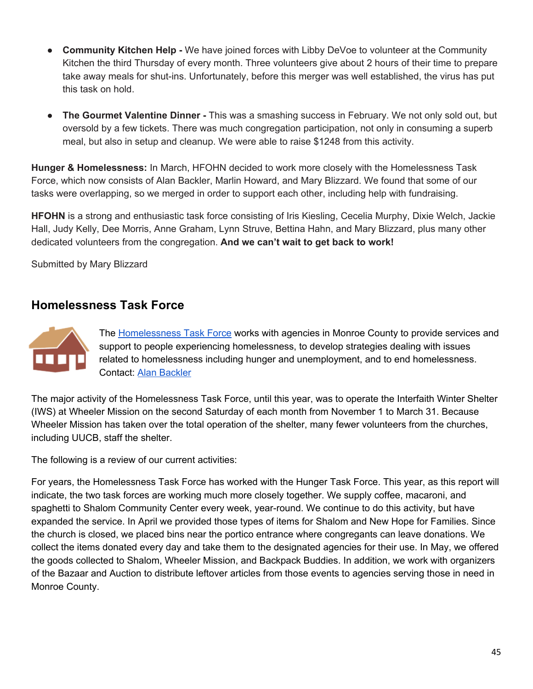- **Community Kitchen Help -** We have joined forces with Libby DeVoe to volunteer at the Community Kitchen the third Thursday of every month. Three volunteers give about 2 hours of their time to prepare take away meals for shut-ins. Unfortunately, before this merger was well established, the virus has put this task on hold.
- **The Gourmet Valentine Dinner -** This was a smashing success in February. We not only sold out, but oversold by a few tickets. There was much congregation participation, not only in consuming a superb meal, but also in setup and cleanup. We were able to raise \$1248 from this activity.

**Hunger & Homelessness:** In March, HFOHN decided to work more closely with the Homelessness Task Force, which now consists of Alan Backler, Marlin Howard, and Mary Blizzard. We found that some of our tasks were overlapping, so we merged in order to support each other, including help with fundraising.

**HFOHN** is a strong and enthusiastic task force consisting of Iris Kiesling, Cecelia Murphy, Dixie Welch, Jackie Hall, Judy Kelly, Dee Morris, Anne Graham, Lynn Struve, Bettina Hahn, and Mary Blizzard, plus many other dedicated volunteers from the congregation. **And we can't wait to get back to work!**

Submitted by Mary Blizzard

### <span id="page-44-0"></span>**Homelessness Task Force**



The [Homelessness](http://www.uubloomington.org/social-justice/homelessness-task-force/) Task Force works with agencies in Monroe County to provide services and support to people experiencing homelessness, to develop strategies dealing with issues related to homelessness including hunger and unemployment, and to end homelessness. Contact: Alan [Backler](mailto:abackler@aol.com)

The major activity of the Homelessness Task Force, until this year, was to operate the Interfaith Winter Shelter (IWS) at Wheeler Mission on the second Saturday of each month from November 1 to March 31. Because Wheeler Mission has taken over the total operation of the shelter, many fewer volunteers from the churches, including UUCB, staff the shelter.

The following is a review of our current activities:

For years, the Homelessness Task Force has worked with the Hunger Task Force. This year, as this report will indicate, the two task forces are working much more closely together. We supply coffee, macaroni, and spaghetti to Shalom Community Center every week, year-round. We continue to do this activity, but have expanded the service. In April we provided those types of items for Shalom and New Hope for Families. Since the church is closed, we placed bins near the portico entrance where congregants can leave donations. We collect the items donated every day and take them to the designated agencies for their use. In May, we offered the goods collected to Shalom, Wheeler Mission, and Backpack Buddies. In addition, we work with organizers of the Bazaar and Auction to distribute leftover articles from those events to agencies serving those in need in Monroe County.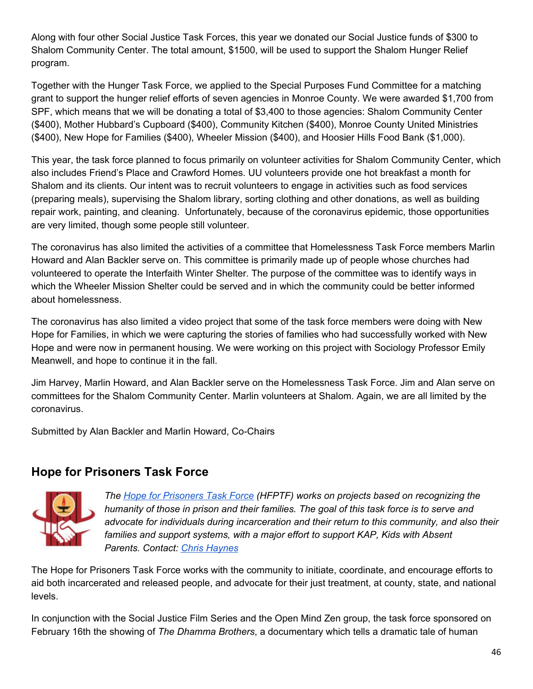Along with four other Social Justice Task Forces, this year we donated our Social Justice funds of \$300 to Shalom Community Center. The total amount, \$1500, will be used to support the Shalom Hunger Relief program.

Together with the Hunger Task Force, we applied to the Special Purposes Fund Committee for a matching grant to support the hunger relief efforts of seven agencies in Monroe County. We were awarded \$1,700 from SPF, which means that we will be donating a total of \$3,400 to those agencies: Shalom Community Center (\$400), Mother Hubbard's Cupboard (\$400), Community Kitchen (\$400), Monroe County United Ministries (\$400), New Hope for Families (\$400), Wheeler Mission (\$400), and Hoosier Hills Food Bank (\$1,000).

This year, the task force planned to focus primarily on volunteer activities for Shalom Community Center, which also includes Friend's Place and Crawford Homes. UU volunteers provide one hot breakfast a month for Shalom and its clients. Our intent was to recruit volunteers to engage in activities such as food services (preparing meals), supervising the Shalom library, sorting clothing and other donations, as well as building repair work, painting, and cleaning. Unfortunately, because of the coronavirus epidemic, those opportunities are very limited, though some people still volunteer.

The coronavirus has also limited the activities of a committee that Homelessness Task Force members Marlin Howard and Alan Backler serve on. This committee is primarily made up of people whose churches had volunteered to operate the Interfaith Winter Shelter. The purpose of the committee was to identify ways in which the Wheeler Mission Shelter could be served and in which the community could be better informed about homelessness.

The coronavirus has also limited a video project that some of the task force members were doing with New Hope for Families, in which we were capturing the stories of families who had successfully worked with New Hope and were now in permanent housing. We were working on this project with Sociology Professor Emily Meanwell, and hope to continue it in the fall.

Jim Harvey, Marlin Howard, and Alan Backler serve on the Homelessness Task Force. Jim and Alan serve on committees for the Shalom Community Center. Marlin volunteers at Shalom. Again, we are all limited by the coronavirus.

Submitted by Alan Backler and Marlin Howard, Co-Chairs

### <span id="page-45-0"></span>**Hope for Prisoners Task Force**



*The Hope for [Prisoners](http://www.uubloomington.org/social-justice/hope-for-prisoners-task-force/) Task Force (HFPTF) works on projects based on recognizing the humanity of those in prison and their families. The goal of this task force is to serve and advocate for individuals during incarceration and their return to this community, and also their families and support systems, with a major effort to support KAP, Kids with Absent Parents. Contact: Chris [Haynes](mailto:chaynes56@gmail.com)*

The Hope for Prisoners Task Force works with the community to initiate, coordinate, and encourage efforts to aid both incarcerated and released people, and advocate for their just treatment, at county, state, and national levels.

In conjunction with the Social Justice Film Series and the Open Mind Zen group, the task force sponsored on February 16th the showing of *The Dhamma Brothers*, a documentary which tells a dramatic tale of human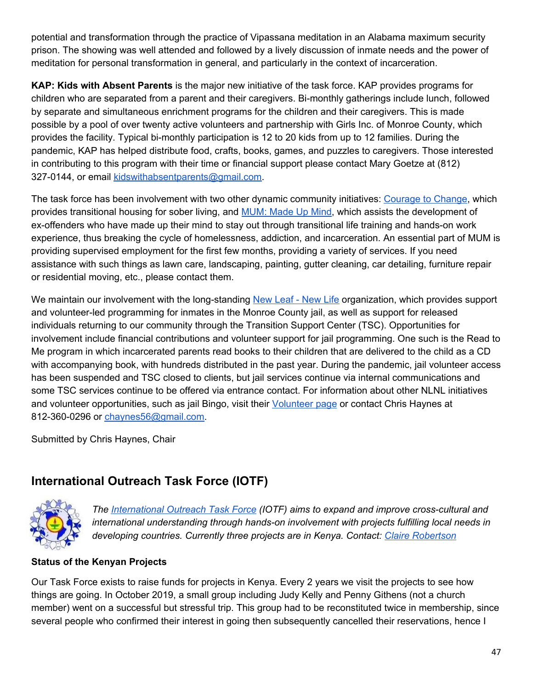potential and transformation through the practice of Vipassana meditation in an Alabama maximum security prison. The showing was well attended and followed by a lively discussion of inmate needs and the power of meditation for personal transformation in general, and particularly in the context of incarceration.

**KAP: Kids with Absent Parents** is the major new initiative of the task force. KAP provides programs for children who are separated from a parent and their caregivers. Bi-monthly gatherings include lunch, followed by separate and simultaneous enrichment programs for the children and their caregivers. This is made possible by a pool of over twenty active volunteers and partnership with Girls Inc. of Monroe County, which provides the facility. Typical bi-monthly participation is 12 to 20 kids from up to 12 families. During the pandemic, KAP has helped distribute food, crafts, books, games, and puzzles to caregivers. Those interested in contributing to this program with their time or financial support please contact Mary Goetze at (812) 327-0144, or email [kidswithabsentparents@gmail.com.](mailto:kidswithabsentparents@gmail.com)

The task force has been involvement with two other dynamic community initiatives: [Courage](http://couragetochangehouse.org/) to Change, which provides transitional housing for sober living, and [MUM:](http://mummadeupmind.org/) Made Up Mind, which assists the development of ex-offenders who have made up their mind to stay out through transitional life training and hands-on work experience, thus breaking the cycle of homelessness, addiction, and incarceration. An essential part of MUM is providing supervised employment for the first few months, providing a variety of services. If you need assistance with such things as lawn care, landscaping, painting, gutter cleaning, car detailing, furniture repair or residential moving, etc., please contact them.

We maintain our involvement with the long-standing [New](http://www.newleafnewlife.org/) Leaf - New Life organization, which provides support and volunteer-led programming for inmates in the Monroe County jail, as well as support for released individuals returning to our community through the Transition Support Center (TSC). Opportunities for involvement include financial contributions and volunteer support for jail programming. One such is the Read to Me program in which incarcerated parents read books to their children that are delivered to the child as a CD with accompanying book, with hundreds distributed in the past year. During the pandemic, jail volunteer access has been suspended and TSC closed to clients, but jail services continue via internal communications and some TSC services continue to be offered via entrance contact. For information about other NLNL initiatives and volunteer opportunities, such as jail Bingo, visit their [Volunteer](http://www.newleafnewlife.org/volunteer) page or contact Chris Haynes at 812-360-0296 or [chaynes56@gmail.com.](mailto:chaynes56@gmail.com)

Submitted by Chris Haynes, Chair

### <span id="page-46-0"></span>**International Outreach Task Force (IOTF)**



*The [International](http://www.uubloomington.org/social-justice/international-outreach-task-force/) Outreach Task Force (IOTF) aims to expand and improve cross-cultural and international understanding through hands-on involvement with projects fulfilling local needs in developing countries. Currently three projects are in Kenya. Contact: Claire [Robertson](mailto:robertson.8@osu.ed)*

#### **Status of the Kenyan Projects**

Our Task Force exists to raise funds for projects in Kenya. Every 2 years we visit the projects to see how things are going. In October 2019, a small group including Judy Kelly and Penny Githens (not a church member) went on a successful but stressful trip. This group had to be reconstituted twice in membership, since several people who confirmed their interest in going then subsequently cancelled their reservations, hence I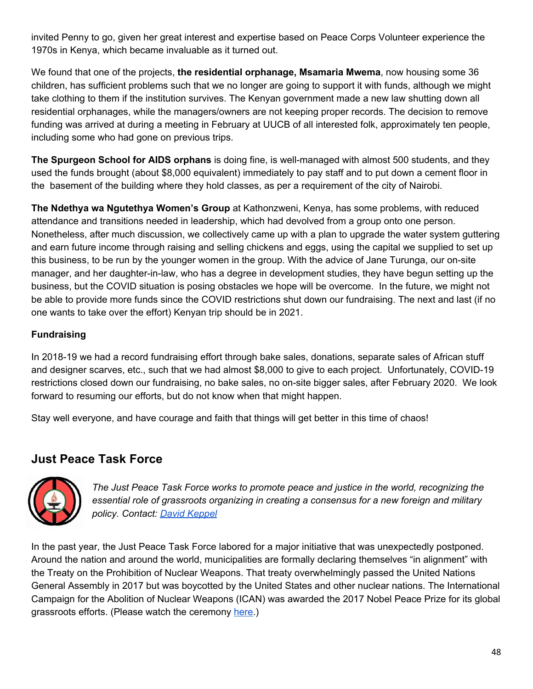invited Penny to go, given her great interest and expertise based on Peace Corps Volunteer experience the 1970s in Kenya, which became invaluable as it turned out.

We found that one of the projects, **the residential orphanage, Msamaria Mwema**, now housing some 36 children, has sufficient problems such that we no longer are going to support it with funds, although we might take clothing to them if the institution survives. The Kenyan government made a new law shutting down all residential orphanages, while the managers/owners are not keeping proper records. The decision to remove funding was arrived at during a meeting in February at UUCB of all interested folk, approximately ten people, including some who had gone on previous trips.

**The Spurgeon School for AIDS orphans** is doing fine, is well-managed with almost 500 students, and they used the funds brought (about \$8,000 equivalent) immediately to pay staff and to put down a cement floor in the basement of the building where they hold classes, as per a requirement of the city of Nairobi.

**The Ndethya wa Ngutethya Women's Group** at Kathonzweni, Kenya, has some problems, with reduced attendance and transitions needed in leadership, which had devolved from a group onto one person. Nonetheless, after much discussion, we collectively came up with a plan to upgrade the water system guttering and earn future income through raising and selling chickens and eggs, using the capital we supplied to set up this business, to be run by the younger women in the group. With the advice of Jane Turunga, our on-site manager, and her daughter-in-law, who has a degree in development studies, they have begun setting up the business, but the COVID situation is posing obstacles we hope will be overcome. In the future, we might not be able to provide more funds since the COVID restrictions shut down our fundraising. The next and last (if no one wants to take over the effort) Kenyan trip should be in 2021.

#### **Fundraising**

In 2018-19 we had a record fundraising effort through bake sales, donations, separate sales of African stuff and designer scarves, etc., such that we had almost \$8,000 to give to each project. Unfortunately, COVID-19 restrictions closed down our fundraising, no bake sales, no on-site bigger sales, after February 2020. We look forward to resuming our efforts, but do not know when that might happen.

Stay well everyone, and have courage and faith that things will get better in this time of chaos!

### <span id="page-47-0"></span>**Just Peace Task Force**



*The Just Peace Task Force works to promote peace and justice in the world, recognizing the essential role of grassroots organizing in creating a consensus for a new foreign and military policy. Contact: David [Keppel](mailto:keppel@sbcglobal.net)*

In the past year, the Just Peace Task Force labored for a major initiative that was unexpectedly postponed. Around the nation and around the world, municipalities are formally declaring themselves "in alignment" with the Treaty on the Prohibition of Nuclear Weapons. That treaty overwhelmingly passed the United Nations General Assembly in 2017 but was boycotted by the United States and other nuclear nations. The International Campaign for the Abolition of Nuclear Weapons (ICAN) was awarded the 2017 Nobel Peace Prize for its global grassroots efforts. (Please watch the ceremony [here.](https://www.youtube.com/watch?v=P1daV8n6fTY&t=331s))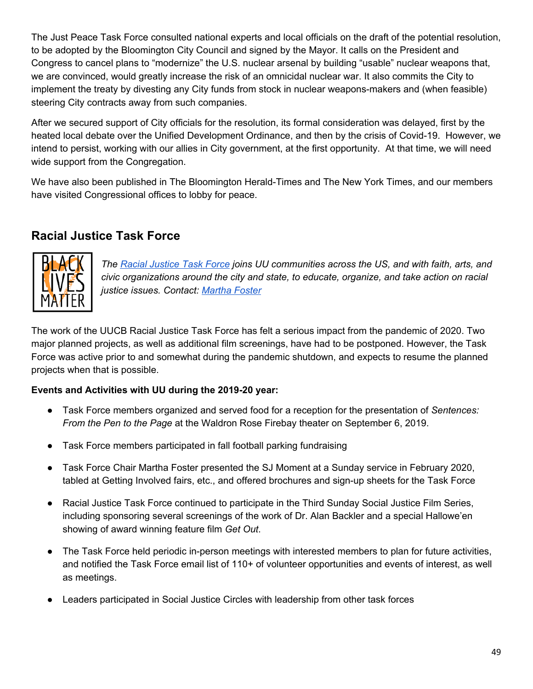The Just Peace Task Force consulted national experts and local officials on the draft of the potential resolution, to be adopted by the Bloomington City Council and signed by the Mayor. It calls on the President and Congress to cancel plans to "modernize" the U.S. nuclear arsenal by building "usable" nuclear weapons that, we are convinced, would greatly increase the risk of an omnicidal nuclear war. It also commits the City to implement the treaty by divesting any City funds from stock in nuclear weapons-makers and (when feasible) steering City contracts away from such companies.

After we secured support of City officials for the resolution, its formal consideration was delayed, first by the heated local debate over the Unified Development Ordinance, and then by the crisis of Covid-19. However, we intend to persist, working with our allies in City government, at the first opportunity. At that time, we will need wide support from the Congregation.

We have also been published in The Bloomington Herald-Times and The New York Times, and our members have visited Congressional offices to lobby for peace.

### <span id="page-48-0"></span>**Racial Justice Task Force**



*The Racial [Justice](http://www.uubloomington.org/racial-justice-task-force/) Task Force joins UU communities across the US, and with faith, arts, and civic organizations around the city and state, to educate, organize, and take action on racial justice issues. Contact: [Martha](mailto:marthaletv@gmail.com) Foster*

The work of the UUCB Racial Justice Task Force has felt a serious impact from the pandemic of 2020. Two major planned projects, as well as additional film screenings, have had to be postponed. However, the Task Force was active prior to and somewhat during the pandemic shutdown, and expects to resume the planned projects when that is possible.

#### **Events and Activities with UU during the 2019-20 year:**

- Task Force members organized and served food for a reception for the presentation of *Sentences: From the Pen to the Page* at the Waldron Rose Firebay theater on September 6, 2019.
- Task Force members participated in fall football parking fundraising
- Task Force Chair Martha Foster presented the SJ Moment at a Sunday service in February 2020, tabled at Getting Involved fairs, etc., and offered brochures and sign-up sheets for the Task Force
- Racial Justice Task Force continued to participate in the Third Sunday Social Justice Film Series, including sponsoring several screenings of the work of Dr. Alan Backler and a special Hallowe'en showing of award winning feature film *Get Out*.
- The Task Force held periodic in-person meetings with interested members to plan for future activities, and notified the Task Force email list of 110+ of volunteer opportunities and events of interest, as well as meetings.
- Leaders participated in Social Justice Circles with leadership from other task forces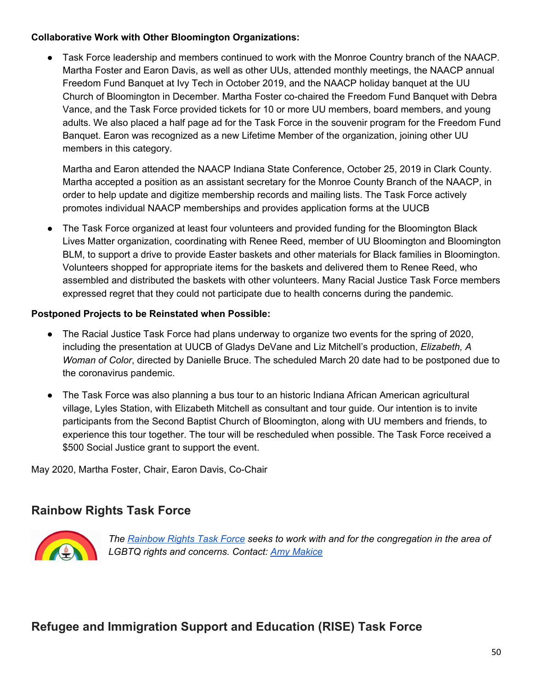#### **Collaborative Work with Other Bloomington Organizations:**

Task Force leadership and members continued to work with the Monroe Country branch of the NAACP. Martha Foster and Earon Davis, as well as other UUs, attended monthly meetings, the NAACP annual Freedom Fund Banquet at Ivy Tech in October 2019, and the NAACP holiday banquet at the UU Church of Bloomington in December. Martha Foster co-chaired the Freedom Fund Banquet with Debra Vance, and the Task Force provided tickets for 10 or more UU members, board members, and young adults. We also placed a half page ad for the Task Force in the souvenir program for the Freedom Fund Banquet. Earon was recognized as a new Lifetime Member of the organization, joining other UU members in this category.

Martha and Earon attended the NAACP Indiana State Conference, October 25, 2019 in Clark County. Martha accepted a position as an assistant secretary for the Monroe County Branch of the NAACP, in order to help update and digitize membership records and mailing lists. The Task Force actively promotes individual NAACP memberships and provides application forms at the UUCB

• The Task Force organized at least four volunteers and provided funding for the Bloomington Black Lives Matter organization, coordinating with Renee Reed, member of UU Bloomington and Bloomington BLM, to support a drive to provide Easter baskets and other materials for Black families in Bloomington. Volunteers shopped for appropriate items for the baskets and delivered them to Renee Reed, who assembled and distributed the baskets with other volunteers. Many Racial Justice Task Force members expressed regret that they could not participate due to health concerns during the pandemic.

#### **Postponed Projects to be Reinstated when Possible:**

- The Racial Justice Task Force had plans underway to organize two events for the spring of 2020, including the presentation at UUCB of Gladys DeVane and Liz Mitchell's production, *Elizabeth, A Woman of Color*, directed by Danielle Bruce. The scheduled March 20 date had to be postponed due to the coronavirus pandemic.
- The Task Force was also planning a bus tour to an historic Indiana African American agricultural village, Lyles Station, with Elizabeth Mitchell as consultant and tour guide. Our intention is to invite participants from the Second Baptist Church of Bloomington, along with UU members and friends, to experience this tour together. The tour will be rescheduled when possible. The Task Force received a \$500 Social Justice grant to support the event.

May 2020, Martha Foster, Chair, Earon Davis, Co-Chair

### <span id="page-49-0"></span>**Rainbow Rights Task Force**



*The [Rainbow](http://www.uubloomington.org/social-justice/rainbow-rights-task-force/) Rights Task Force seeks to work with and for the congregation in the area of LGBTQ rights and concerns. Contact: Amy [Makice](mailto:amakice@gmail.com)*

### <span id="page-49-1"></span>**Refugee and Immigration Support and Education (RISE) Task Force**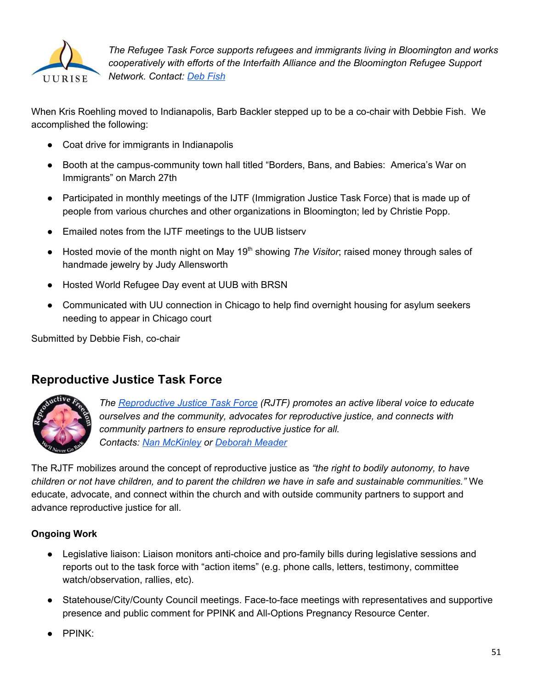

*The Refugee Task Force supports refugees and immigrants living in Bloomington and works cooperatively with efforts of the Interfaith Alliance and the Bloomington Refugee Support Network. Contact: Deb [Fish](mailto:schoolofdfish@gmail.com)*

When Kris Roehling moved to Indianapolis, Barb Backler stepped up to be a co-chair with Debbie Fish. We accomplished the following:

- Coat drive for immigrants in Indianapolis
- Booth at the campus-community town hall titled "Borders, Bans, and Babies: America's War on Immigrants" on March 27th
- Participated in monthly meetings of the IJTF (Immigration Justice Task Force) that is made up of people from various churches and other organizations in Bloomington; led by Christie Popp.
- Emailed notes from the IJTF meetings to the UUB listserv
- Hosted movie of the month night on May 19<sup>th</sup> showing *The Visitor*; raised money through sales of handmade jewelry by Judy Allensworth
- Hosted World Refugee Day event at UUB with BRSN
- Communicated with UU connection in Chicago to help find overnight housing for asylum seekers needing to appear in Chicago court

Submitted by Debbie Fish, co-chair

### <span id="page-50-0"></span>**Reproductive Justice Task Force**



*The [Reproductive](http://www.uubloomington.org/social-justice/reproductive-justice-task-force/) Justice Task Force (RJTF) promotes an active liberal voice to educate ourselves and the community, advocates for reproductive justice, and connects with community partners to ensure reproductive justice for all. Contacts: Nan [McKinley](mailto:fiddlernan@gmail.com) or [Deborah](mailto:deborahmmeader@gmail.com) Meader*

The RJTF mobilizes around the concept of reproductive justice as *"the right to bodily autonomy, to have* children or not have children, and to parent the children we have in safe and sustainable communities." We educate, advocate, and connect within the church and with outside community partners to support and advance reproductive justice for all.

#### **Ongoing Work**

- Legislative liaison: Liaison monitors anti-choice and pro-family bills during legislative sessions and reports out to the task force with "action items" (e.g. phone calls, letters, testimony, committee watch/observation, rallies, etc).
- Statehouse/City/County Council meetings. Face-to-face meetings with representatives and supportive presence and public comment for PPINK and All-Options Pregnancy Resource Center.
- PPINK: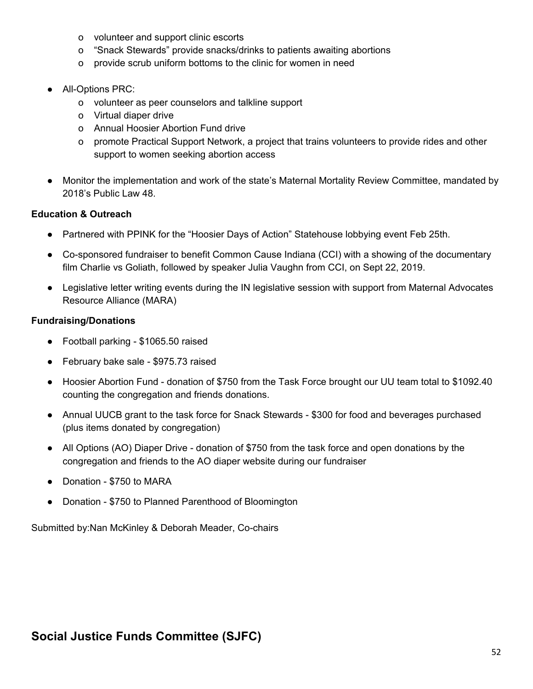- o volunteer and support clinic escorts
- o "Snack Stewards" provide snacks/drinks to patients awaiting abortions
- o provide scrub uniform bottoms to the clinic for women in need
- All-Options PRC:
	- o volunteer as peer counselors and talkline support
	- o Virtual diaper drive
	- o Annual Hoosier Abortion Fund drive
	- o promote Practical Support Network, a project that trains volunteers to provide rides and other support to women seeking abortion access
- Monitor the implementation and work of the state's Maternal Mortality Review Committee, mandated by 2018's Public Law 48.

#### **Education & Outreach**

- Partnered with PPINK for the "Hoosier Days of Action" Statehouse lobbying event Feb 25th.
- Co-sponsored fundraiser to benefit Common Cause Indiana (CCI) with a showing of the documentary film Charlie vs Goliath, followed by speaker Julia Vaughn from CCI, on Sept 22, 2019.
- Legislative letter writing events during the IN legislative session with support from Maternal Advocates Resource Alliance (MARA)

#### **Fundraising/Donations**

- Football parking \$1065.50 raised
- February bake sale \$975.73 raised
- Hoosier Abortion Fund donation of \$750 from the Task Force brought our UU team total to \$1092.40 counting the congregation and friends donations.
- Annual UUCB grant to the task force for Snack Stewards \$300 for food and beverages purchased (plus items donated by congregation)
- All Options (AO) Diaper Drive donation of \$750 from the task force and open donations by the congregation and friends to the AO diaper website during our fundraiser
- Donation \$750 to MARA
- Donation \$750 to Planned Parenthood of Bloomington

Submitted by:Nan McKinley & Deborah Meader, Co-chairs

### <span id="page-51-0"></span>**Social Justice Funds Committee (SJFC)**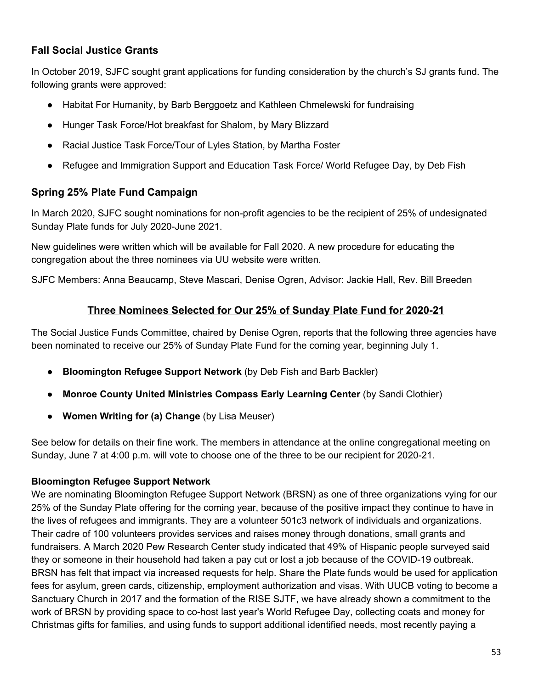#### **Fall Social Justice Grants**

In October 2019, SJFC sought grant applications for funding consideration by the church's SJ grants fund. The following grants were approved:

- Habitat For Humanity, by Barb Berggoetz and Kathleen Chmelewski for fundraising
- Hunger Task Force/Hot breakfast for Shalom, by Mary Blizzard
- Racial Justice Task Force/Tour of Lyles Station, by Martha Foster
- Refugee and Immigration Support and Education Task Force/ World Refugee Day, by Deb Fish

#### **Spring 25% Plate Fund Campaign**

In March 2020, SJFC sought nominations for non-profit agencies to be the recipient of 25% of undesignated Sunday Plate funds for July 2020-June 2021.

New guidelines were written which will be available for Fall 2020. A new procedure for educating the congregation about the three nominees via UU website were written.

SJFC Members: Anna Beaucamp, Steve Mascari, Denise Ogren, Advisor: Jackie Hall, Rev. Bill Breeden

#### **Three Nominees Selected for Our 25% of Sunday Plate Fund for 2020-21**

The Social Justice Funds Committee, chaired by Denise Ogren, reports that the following three agencies have been nominated to receive our 25% of Sunday Plate Fund for the coming year, beginning July 1.

- **Bloomington Refugee Support Network** (by Deb Fish and Barb Backler)
- **Monroe County United Ministries Compass Early Learning Center** (by Sandi Clothier)
- **Women Writing for (a) Change** (by Lisa Meuser)

See below for details on their fine work. The members in attendance at the online congregational meeting on Sunday, June 7 at 4:00 p.m. will vote to choose one of the three to be our recipient for 2020-21.

#### **Bloomington Refugee Support Network**

We are nominating Bloomington Refugee Support Network (BRSN) as one of three organizations vying for our 25% of the Sunday Plate offering for the coming year, because of the positive impact they continue to have in the lives of refugees and immigrants. They are a volunteer 501c3 network of individuals and organizations. Their cadre of 100 volunteers provides services and raises money through donations, small grants and fundraisers. A March 2020 Pew Research Center study indicated that 49% of Hispanic people surveyed said they or someone in their household had taken a pay cut or lost a job because of the COVID-19 outbreak. BRSN has felt that impact via increased requests for help. Share the Plate funds would be used for application fees for asylum, green cards, citizenship, employment authorization and visas. With UUCB voting to become a Sanctuary Church in 2017 and the formation of the RISE SJTF, we have already shown a commitment to the work of BRSN by providing space to co-host last year's World Refugee Day, collecting coats and money for Christmas gifts for families, and using funds to support additional identified needs, most recently paying a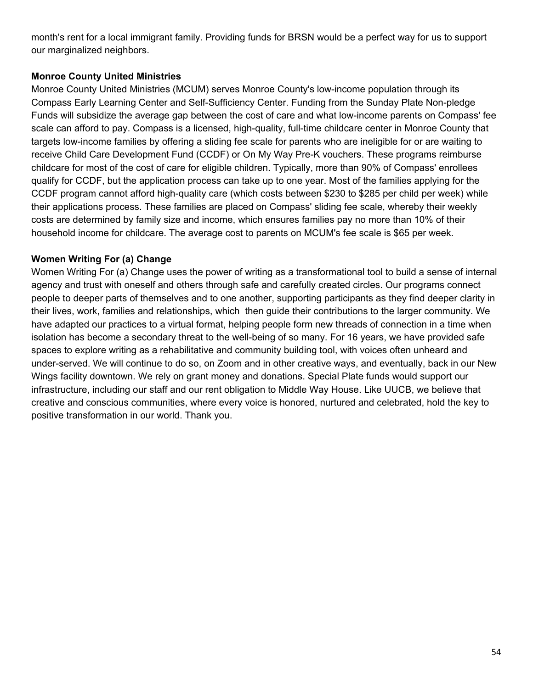month's rent for a local immigrant family. Providing funds for BRSN would be a perfect way for us to support our marginalized neighbors.

#### **Monroe County United Ministries**

Monroe County United Ministries (MCUM) serves Monroe County's low-income population through its Compass Early Learning Center and Self-Sufficiency Center. Funding from the Sunday Plate Non-pledge Funds will subsidize the average gap between the cost of care and what low-income parents on Compass' fee scale can afford to pay. Compass is a licensed, high-quality, full-time childcare center in Monroe County that targets low-income families by offering a sliding fee scale for parents who are ineligible for or are waiting to receive Child Care Development Fund (CCDF) or On My Way Pre-K vouchers. These programs reimburse childcare for most of the cost of care for eligible children. Typically, more than 90% of Compass' enrollees qualify for CCDF, but the application process can take up to one year. Most of the families applying for the CCDF program cannot afford high-quality care (which costs between \$230 to \$285 per child per week) while their applications process. These families are placed on Compass' sliding fee scale, whereby their weekly costs are determined by family size and income, which ensures families pay no more than 10% of their household income for childcare. The average cost to parents on MCUM's fee scale is \$65 per week.

#### **Women Writing For (a) Change**

Women Writing For (a) Change uses the power of writing as a transformational tool to build a sense of internal agency and trust with oneself and others through safe and carefully created circles. Our programs connect people to deeper parts of themselves and to one another, supporting participants as they find deeper clarity in their lives, work, families and relationships, which then guide their contributions to the larger community. We have adapted our practices to a virtual format, helping people form new threads of connection in a time when isolation has become a secondary threat to the well-being of so many. For 16 years, we have provided safe spaces to explore writing as a rehabilitative and community building tool, with voices often unheard and under-served. We will continue to do so, on Zoom and in other creative ways, and eventually, back in our New Wings facility downtown. We rely on grant money and donations. Special Plate funds would support our infrastructure, including our staff and our rent obligation to Middle Way House. Like UUCB, we believe that creative and conscious communities, where every voice is honored, nurtured and celebrated, hold the key to positive transformation in our world. Thank you.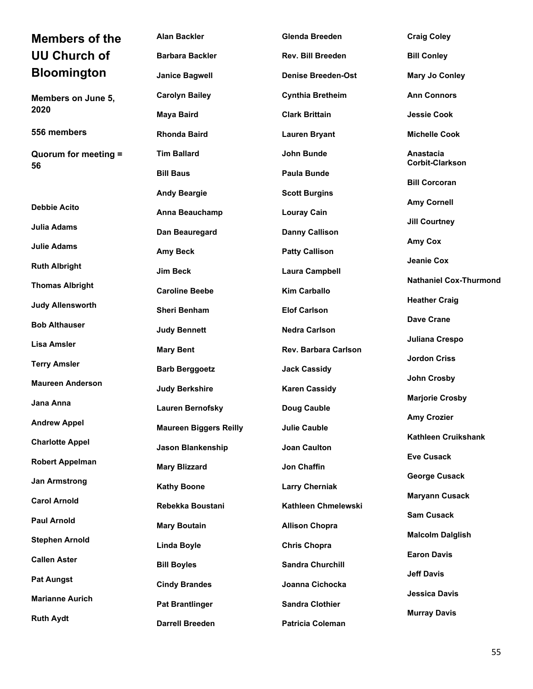<span id="page-54-0"></span>

| <b>Members of the</b>      | <b>Alan Backler</b>           | <b>Glenda Breeden</b>       | <b>Craig Coley</b>                  |
|----------------------------|-------------------------------|-----------------------------|-------------------------------------|
| <b>UU Church of</b>        | <b>Barbara Backler</b>        | Rev. Bill Breeden           | <b>Bill Conley</b>                  |
| <b>Bloomington</b>         | <b>Janice Bagwell</b>         | <b>Denise Breeden-Ost</b>   | <b>Mary Jo Conley</b>               |
| Members on June 5,         | <b>Carolyn Bailey</b>         | <b>Cynthia Bretheim</b>     | <b>Ann Connors</b>                  |
| 2020                       | <b>Maya Baird</b>             | <b>Clark Brittain</b>       | <b>Jessie Cook</b>                  |
| 556 members                | <b>Rhonda Baird</b>           | <b>Lauren Bryant</b>        | <b>Michelle Cook</b>                |
| Quorum for meeting =<br>56 | <b>Tim Ballard</b>            | John Bunde                  | Anastacia<br><b>Corbit-Clarkson</b> |
|                            | <b>Bill Baus</b>              | <b>Paula Bunde</b>          | <b>Bill Corcoran</b>                |
|                            | <b>Andy Beargie</b>           | <b>Scott Burgins</b>        | <b>Amy Cornell</b>                  |
| <b>Debbie Acito</b>        | Anna Beauchamp                | <b>Louray Cain</b>          | <b>Jill Courtney</b>                |
| Julia Adams                | Dan Beauregard                | <b>Danny Callison</b>       |                                     |
| <b>Julie Adams</b>         | <b>Amy Beck</b>               | <b>Patty Callison</b>       | Amy Cox                             |
| <b>Ruth Albright</b>       | Jim Beck                      | <b>Laura Campbell</b>       | Jeanie Cox                          |
| <b>Thomas Albright</b>     | <b>Caroline Beebe</b>         | <b>Kim Carballo</b>         | <b>Nathaniel Cox-Thurmond</b>       |
| <b>Judy Allensworth</b>    | <b>Sheri Benham</b>           | <b>Elof Carlson</b>         | <b>Heather Craig</b>                |
| <b>Bob Althauser</b>       | <b>Judy Bennett</b>           | <b>Nedra Carlson</b>        | <b>Dave Crane</b>                   |
| Lisa Amsler                | <b>Mary Bent</b>              | <b>Rev. Barbara Carlson</b> | Juliana Crespo                      |
| <b>Terry Amsler</b>        |                               |                             | <b>Jordon Criss</b>                 |
| <b>Maureen Anderson</b>    | <b>Barb Berggoetz</b>         | <b>Jack Cassidy</b>         | John Crosby                         |
| Jana Anna                  | <b>Judy Berkshire</b>         | <b>Karen Cassidy</b>        | <b>Marjorie Crosby</b>              |
|                            | <b>Lauren Bernofsky</b>       | Doug Cauble                 | <b>Amy Crozier</b>                  |
| <b>Andrew Appel</b>        | <b>Maureen Biggers Reilly</b> | <b>Julie Cauble</b>         | <b>Kathleen Cruikshank</b>          |
| <b>Charlotte Appel</b>     | <b>Jason Blankenship</b>      | <b>Joan Caulton</b>         | <b>Eve Cusack</b>                   |
| <b>Robert Appelman</b>     | <b>Mary Blizzard</b>          | Jon Chaffin                 | <b>George Cusack</b>                |
| <b>Jan Armstrong</b>       | <b>Kathy Boone</b>            | <b>Larry Cherniak</b>       |                                     |
| <b>Carol Arnold</b>        | Rebekka Boustani              | Kathleen Chmelewski         | <b>Maryann Cusack</b>               |
| <b>Paul Arnold</b>         | <b>Mary Boutain</b>           | <b>Allison Chopra</b>       | <b>Sam Cusack</b>                   |
| <b>Stephen Arnold</b>      | <b>Linda Boyle</b>            | <b>Chris Chopra</b>         | <b>Malcolm Dalglish</b>             |
| <b>Callen Aster</b>        | <b>Bill Boyles</b>            | <b>Sandra Churchill</b>     | <b>Earon Davis</b>                  |
| <b>Pat Aungst</b>          | <b>Cindy Brandes</b>          | Joanna Cichocka             | <b>Jeff Davis</b>                   |
| <b>Marianne Aurich</b>     | <b>Pat Brantlinger</b>        | <b>Sandra Clothier</b>      | <b>Jessica Davis</b>                |
| <b>Ruth Aydt</b>           | <b>Darrell Breeden</b>        | Patricia Coleman            | <b>Murray Davis</b>                 |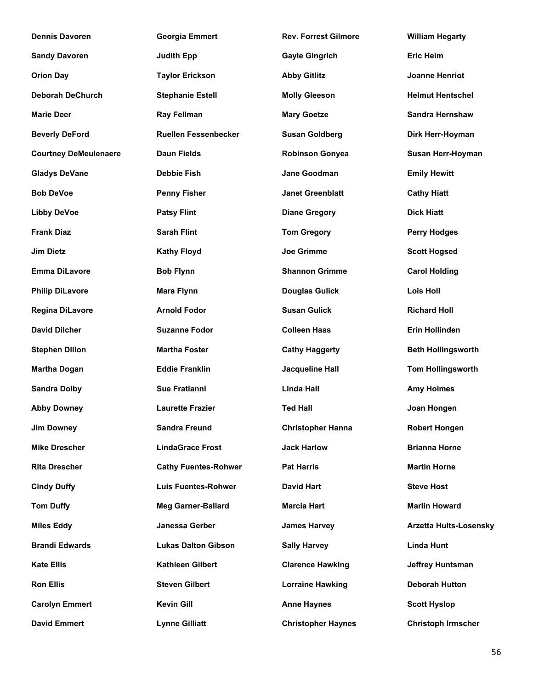| <b>Dennis Davoren</b>        | <b>Georgia Emmert</b>       | <b>Rev. Forrest Gilmore</b> | <b>William Hegarty</b>        |
|------------------------------|-----------------------------|-----------------------------|-------------------------------|
| <b>Sandy Davoren</b>         | <b>Judith Epp</b>           | <b>Gayle Gingrich</b>       | <b>Eric Heim</b>              |
| <b>Orion Day</b>             | <b>Taylor Erickson</b>      | <b>Abby Gitlitz</b>         | <b>Joanne Henriot</b>         |
| <b>Deborah DeChurch</b>      | <b>Stephanie Estell</b>     | <b>Molly Gleeson</b>        | <b>Helmut Hentschel</b>       |
| <b>Marie Deer</b>            | <b>Ray Fellman</b>          | <b>Mary Goetze</b>          | Sandra Hernshaw               |
| <b>Beverly DeFord</b>        | <b>Ruellen Fessenbecker</b> | <b>Susan Goldberg</b>       | Dirk Herr-Hoyman              |
| <b>Courtney DeMeulenaere</b> | <b>Daun Fields</b>          | <b>Robinson Gonyea</b>      | Susan Herr-Hoyman             |
| <b>Gladys DeVane</b>         | <b>Debbie Fish</b>          | <b>Jane Goodman</b>         | <b>Emily Hewitt</b>           |
| <b>Bob DeVoe</b>             | <b>Penny Fisher</b>         | <b>Janet Greenblatt</b>     | <b>Cathy Hiatt</b>            |
| <b>Libby DeVoe</b>           | <b>Patsy Flint</b>          | <b>Diane Gregory</b>        | <b>Dick Hiatt</b>             |
| <b>Frank Diaz</b>            | <b>Sarah Flint</b>          | <b>Tom Gregory</b>          | <b>Perry Hodges</b>           |
| <b>Jim Dietz</b>             | <b>Kathy Floyd</b>          | <b>Joe Grimme</b>           | <b>Scott Hogsed</b>           |
| <b>Emma DiLavore</b>         | <b>Bob Flynn</b>            | <b>Shannon Grimme</b>       | <b>Carol Holding</b>          |
| <b>Philip DiLavore</b>       | <b>Mara Flynn</b>           | <b>Douglas Gulick</b>       | <b>Lois Holl</b>              |
| Regina DiLavore              | <b>Arnold Fodor</b>         | <b>Susan Gulick</b>         | <b>Richard Holl</b>           |
| <b>David Dilcher</b>         | <b>Suzanne Fodor</b>        | <b>Colleen Haas</b>         | Erin Hollinden                |
| <b>Stephen Dillon</b>        | <b>Martha Foster</b>        | <b>Cathy Haggerty</b>       | <b>Beth Hollingsworth</b>     |
| <b>Martha Dogan</b>          | <b>Eddie Franklin</b>       | <b>Jacqueline Hall</b>      | <b>Tom Hollingsworth</b>      |
| <b>Sandra Dolby</b>          | <b>Sue Fratianni</b>        | <b>Linda Hall</b>           | <b>Amy Holmes</b>             |
| <b>Abby Downey</b>           | <b>Laurette Frazier</b>     | <b>Ted Hall</b>             | Joan Hongen                   |
| <b>Jim Downey</b>            | <b>Sandra Freund</b>        | <b>Christopher Hanna</b>    | <b>Robert Hongen</b>          |
| <b>Mike Drescher</b>         | <b>LindaGrace Frost</b>     | <b>Jack Harlow</b>          | <b>Brianna Horne</b>          |
| <b>Rita Drescher</b>         | <b>Cathy Fuentes-Rohwer</b> | <b>Pat Harris</b>           | <b>Martin Horne</b>           |
| <b>Cindy Duffy</b>           | <b>Luis Fuentes-Rohwer</b>  | David Hart                  | <b>Steve Host</b>             |
| <b>Tom Duffy</b>             | <b>Meg Garner-Ballard</b>   | <b>Marcia Hart</b>          | <b>Marlin Howard</b>          |
| <b>Miles Eddy</b>            | Janessa Gerber              | <b>James Harvey</b>         | <b>Arzetta Hults-Losensky</b> |
| <b>Brandi Edwards</b>        | <b>Lukas Dalton Gibson</b>  | <b>Sally Harvey</b>         | <b>Linda Hunt</b>             |
| <b>Kate Ellis</b>            | Kathleen Gilbert            | <b>Clarence Hawking</b>     | <b>Jeffrey Huntsman</b>       |
| <b>Ron Ellis</b>             | <b>Steven Gilbert</b>       | <b>Lorraine Hawking</b>     | <b>Deborah Hutton</b>         |
| <b>Carolyn Emmert</b>        | <b>Kevin Gill</b>           | <b>Anne Haynes</b>          | <b>Scott Hyslop</b>           |
| <b>David Emmert</b>          | <b>Lynne Gilliatt</b>       | <b>Christopher Haynes</b>   | <b>Christoph Irmscher</b>     |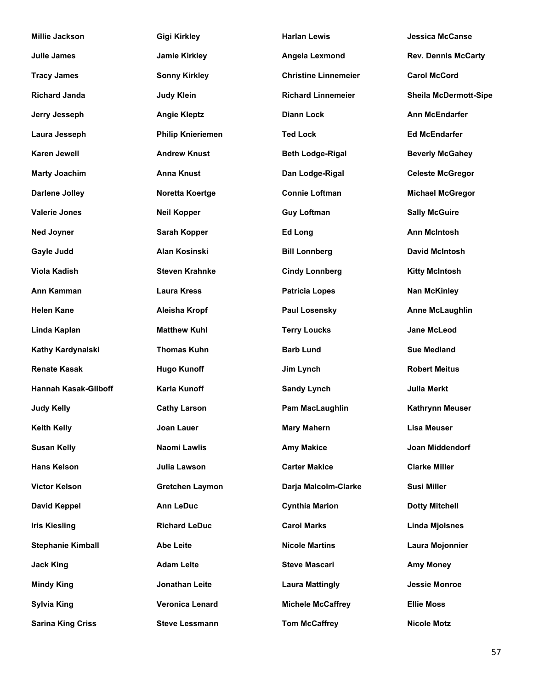| <b>Millie Jackson</b>       | <b>Gigi Kirkley</b>      | <b>Harlan Lewis</b>         | <b>Jessica McCanse</b>       |
|-----------------------------|--------------------------|-----------------------------|------------------------------|
| Julie James                 | <b>Jamie Kirkley</b>     | Angela Lexmond              | <b>Rev. Dennis McCarty</b>   |
| <b>Tracy James</b>          | <b>Sonny Kirkley</b>     | <b>Christine Linnemeier</b> | <b>Carol McCord</b>          |
| <b>Richard Janda</b>        | <b>Judy Klein</b>        | <b>Richard Linnemeier</b>   | <b>Sheila McDermott-Sipe</b> |
| Jerry Jesseph               | <b>Angie Kleptz</b>      | <b>Diann Lock</b>           | <b>Ann McEndarfer</b>        |
| Laura Jesseph               | <b>Philip Knieriemen</b> | <b>Ted Lock</b>             | <b>Ed McEndarfer</b>         |
| <b>Karen Jewell</b>         | <b>Andrew Knust</b>      | <b>Beth Lodge-Rigal</b>     | <b>Beverly McGahey</b>       |
| <b>Marty Joachim</b>        | <b>Anna Knust</b>        | Dan Lodge-Rigal             | <b>Celeste McGregor</b>      |
| <b>Darlene Jolley</b>       | Noretta Koertge          | <b>Connie Loftman</b>       | <b>Michael McGregor</b>      |
| <b>Valerie Jones</b>        | <b>Neil Kopper</b>       | <b>Guy Loftman</b>          | <b>Sally McGuire</b>         |
| <b>Ned Joyner</b>           | Sarah Kopper             | <b>Ed Long</b>              | <b>Ann McIntosh</b>          |
| Gayle Judd                  | Alan Kosinski            | <b>Bill Lonnberg</b>        | <b>David McIntosh</b>        |
| <b>Viola Kadish</b>         | <b>Steven Krahnke</b>    | <b>Cindy Lonnberg</b>       | <b>Kitty McIntosh</b>        |
| Ann Kamman                  | <b>Laura Kress</b>       | <b>Patricia Lopes</b>       | <b>Nan McKinley</b>          |
| <b>Helen Kane</b>           | <b>Aleisha Kropf</b>     | <b>Paul Losensky</b>        | <b>Anne McLaughlin</b>       |
| Linda Kaplan                | <b>Matthew Kuhl</b>      | <b>Terry Loucks</b>         | <b>Jane McLeod</b>           |
| Kathy Kardynalski           | <b>Thomas Kuhn</b>       | <b>Barb Lund</b>            | <b>Sue Medland</b>           |
| <b>Renate Kasak</b>         | <b>Hugo Kunoff</b>       | Jim Lynch                   | <b>Robert Meitus</b>         |
| <b>Hannah Kasak-Gliboff</b> | Karla Kunoff             | <b>Sandy Lynch</b>          | Julia Merkt                  |
| <b>Judy Kelly</b>           | <b>Cathy Larson</b>      | Pam MacLaughlin             | <b>Kathrynn Meuser</b>       |
| <b>Keith Kelly</b>          | Joan Lauer               | <b>Mary Mahern</b>          | <b>Lisa Meuser</b>           |
| <b>Susan Kelly</b>          | Naomi Lawlis             | <b>Amy Makice</b>           | <b>Joan Middendorf</b>       |
| <b>Hans Kelson</b>          | Julia Lawson             | <b>Carter Makice</b>        | <b>Clarke Miller</b>         |
| <b>Victor Kelson</b>        | <b>Gretchen Laymon</b>   | Darja Malcolm-Clarke        | <b>Susi Miller</b>           |
| <b>David Keppel</b>         | <b>Ann LeDuc</b>         | <b>Cynthia Marion</b>       | <b>Dotty Mitchell</b>        |
| <b>Iris Kiesling</b>        | <b>Richard LeDuc</b>     | <b>Carol Marks</b>          | <b>Linda Mjolsnes</b>        |
| <b>Stephanie Kimball</b>    | <b>Abe Leite</b>         | <b>Nicole Martins</b>       | Laura Mojonnier              |
| <b>Jack King</b>            | <b>Adam Leite</b>        | <b>Steve Mascari</b>        | <b>Amy Money</b>             |
| <b>Mindy King</b>           | Jonathan Leite           | <b>Laura Mattingly</b>      | <b>Jessie Monroe</b>         |
| <b>Sylvia King</b>          | Veronica Lenard          | <b>Michele McCaffrey</b>    | <b>Ellie Moss</b>            |
| <b>Sarina King Criss</b>    | <b>Steve Lessmann</b>    | <b>Tom McCaffrey</b>        | <b>Nicole Motz</b>           |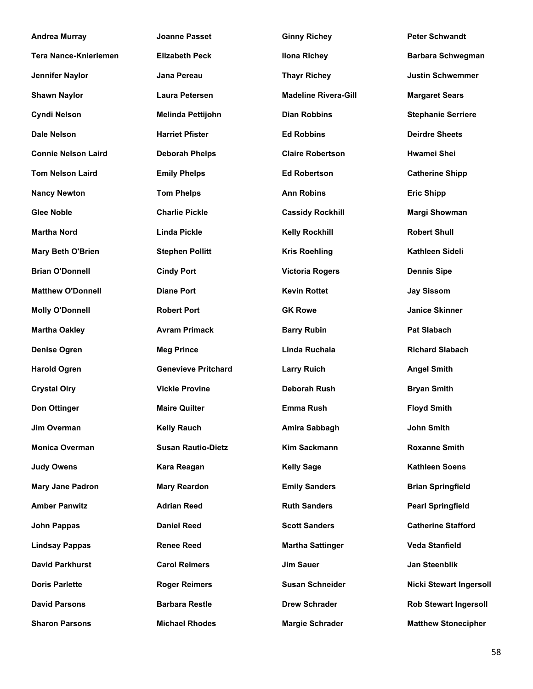| <b>Andrea Murray</b>         | <b>Joanne Passet</b>       | <b>Ginny Richey</b>         | <b>Peter Schwandt</b>          |
|------------------------------|----------------------------|-----------------------------|--------------------------------|
| <b>Tera Nance-Knieriemen</b> | <b>Elizabeth Peck</b>      | <b>Ilona Richey</b>         | <b>Barbara Schwegman</b>       |
| Jennifer Naylor              | Jana Pereau                | <b>Thayr Richey</b>         | <b>Justin Schwemmer</b>        |
| <b>Shawn Naylor</b>          | <b>Laura Petersen</b>      | <b>Madeline Rivera-Gill</b> | <b>Margaret Sears</b>          |
| <b>Cyndi Nelson</b>          | Melinda Pettijohn          | <b>Dian Robbins</b>         | <b>Stephanie Serriere</b>      |
| <b>Dale Nelson</b>           | <b>Harriet Pfister</b>     | <b>Ed Robbins</b>           | <b>Deirdre Sheets</b>          |
| <b>Connie Nelson Laird</b>   | <b>Deborah Phelps</b>      | <b>Claire Robertson</b>     | <b>Hwamei Shei</b>             |
| <b>Tom Nelson Laird</b>      | <b>Emily Phelps</b>        | <b>Ed Robertson</b>         | <b>Catherine Shipp</b>         |
| <b>Nancy Newton</b>          | <b>Tom Phelps</b>          | <b>Ann Robins</b>           | <b>Eric Shipp</b>              |
| <b>Glee Noble</b>            | <b>Charlie Pickle</b>      | <b>Cassidy Rockhill</b>     | <b>Margi Showman</b>           |
| <b>Martha Nord</b>           | <b>Linda Pickle</b>        | <b>Kelly Rockhill</b>       | <b>Robert Shull</b>            |
| <b>Mary Beth O'Brien</b>     | <b>Stephen Pollitt</b>     | <b>Kris Roehling</b>        | Kathleen Sideli                |
| <b>Brian O'Donnell</b>       | <b>Cindy Port</b>          | <b>Victoria Rogers</b>      | <b>Dennis Sipe</b>             |
| <b>Matthew O'Donnell</b>     | <b>Diane Port</b>          | <b>Kevin Rottet</b>         | <b>Jay Sissom</b>              |
| <b>Molly O'Donnell</b>       | <b>Robert Port</b>         | <b>GK Rowe</b>              | <b>Janice Skinner</b>          |
| <b>Martha Oakley</b>         | <b>Avram Primack</b>       | <b>Barry Rubin</b>          | <b>Pat Slabach</b>             |
| <b>Denise Ogren</b>          | <b>Meg Prince</b>          | Linda Ruchala               | <b>Richard Slabach</b>         |
| <b>Harold Ogren</b>          | <b>Genevieve Pritchard</b> | <b>Larry Ruich</b>          | <b>Angel Smith</b>             |
| <b>Crystal Olry</b>          | <b>Vickie Provine</b>      | <b>Deborah Rush</b>         | <b>Bryan Smith</b>             |
| Don Ottinger                 | <b>Maire Quilter</b>       | <b>Emma Rush</b>            | <b>Floyd Smith</b>             |
| Jim Overman                  | <b>Kelly Rauch</b>         | Amira Sabbagh               | John Smith                     |
| <b>Monica Overman</b>        | <b>Susan Rautio-Dietz</b>  | <b>Kim Sackmann</b>         | <b>Roxanne Smith</b>           |
| <b>Judy Owens</b>            | Kara Reagan                | <b>Kelly Sage</b>           | <b>Kathleen Soens</b>          |
| <b>Mary Jane Padron</b>      | <b>Mary Reardon</b>        | <b>Emily Sanders</b>        | <b>Brian Springfield</b>       |
| <b>Amber Panwitz</b>         | <b>Adrian Reed</b>         | <b>Ruth Sanders</b>         | <b>Pearl Springfield</b>       |
| <b>John Pappas</b>           | <b>Daniel Reed</b>         | <b>Scott Sanders</b>        | <b>Catherine Stafford</b>      |
| <b>Lindsay Pappas</b>        | <b>Renee Reed</b>          | <b>Martha Sattinger</b>     | <b>Veda Stanfield</b>          |
| <b>David Parkhurst</b>       | <b>Carol Reimers</b>       | <b>Jim Sauer</b>            | Jan Steenblik                  |
| <b>Doris Parlette</b>        | <b>Roger Reimers</b>       | <b>Susan Schneider</b>      | <b>Nicki Stewart Ingersoll</b> |
| <b>David Parsons</b>         | <b>Barbara Restle</b>      | <b>Drew Schrader</b>        | <b>Rob Stewart Ingersoll</b>   |
| <b>Sharon Parsons</b>        | <b>Michael Rhodes</b>      | <b>Margie Schrader</b>      | <b>Matthew Stonecipher</b>     |